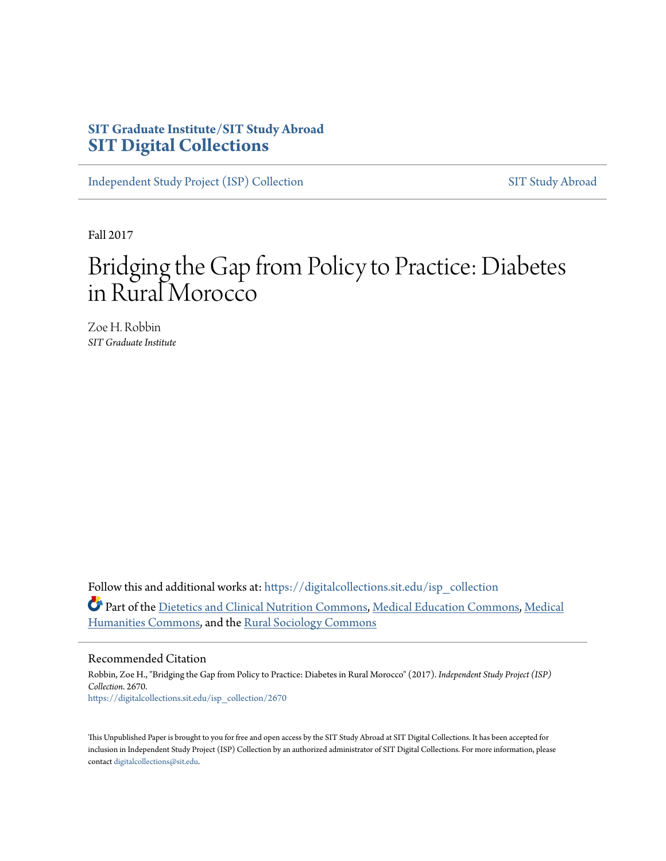### **SIT Graduate Institute/SIT Study Abroad [SIT Digital Collections](https://digitalcollections.sit.edu?utm_source=digitalcollections.sit.edu%2Fisp_collection%2F2670&utm_medium=PDF&utm_campaign=PDFCoverPages)**

[Independent Study Project \(ISP\) Collection](https://digitalcollections.sit.edu/isp_collection?utm_source=digitalcollections.sit.edu%2Fisp_collection%2F2670&utm_medium=PDF&utm_campaign=PDFCoverPages) [SIT Study Abroad](https://digitalcollections.sit.edu/study_abroad?utm_source=digitalcollections.sit.edu%2Fisp_collection%2F2670&utm_medium=PDF&utm_campaign=PDFCoverPages)

Fall 2017

# Bridging the Gap from Policy to Practice: Diabetes in Rural Morocco

Zoe H. Robbin *SIT Graduate Institute*

Follow this and additional works at: [https://digitalcollections.sit.edu/isp\\_collection](https://digitalcollections.sit.edu/isp_collection?utm_source=digitalcollections.sit.edu%2Fisp_collection%2F2670&utm_medium=PDF&utm_campaign=PDFCoverPages) Part of the [Dietetics and Clinical Nutrition Commons,](http://network.bepress.com/hgg/discipline/662?utm_source=digitalcollections.sit.edu%2Fisp_collection%2F2670&utm_medium=PDF&utm_campaign=PDFCoverPages) [Medical Education Commons,](http://network.bepress.com/hgg/discipline/1125?utm_source=digitalcollections.sit.edu%2Fisp_collection%2F2670&utm_medium=PDF&utm_campaign=PDFCoverPages) [Medical](http://network.bepress.com/hgg/discipline/1303?utm_source=digitalcollections.sit.edu%2Fisp_collection%2F2670&utm_medium=PDF&utm_campaign=PDFCoverPages) [Humanities Commons,](http://network.bepress.com/hgg/discipline/1303?utm_source=digitalcollections.sit.edu%2Fisp_collection%2F2670&utm_medium=PDF&utm_campaign=PDFCoverPages) and the [Rural Sociology Commons](http://network.bepress.com/hgg/discipline/428?utm_source=digitalcollections.sit.edu%2Fisp_collection%2F2670&utm_medium=PDF&utm_campaign=PDFCoverPages)

#### Recommended Citation

Robbin, Zoe H., "Bridging the Gap from Policy to Practice: Diabetes in Rural Morocco" (2017). *Independent Study Project (ISP) Collection*. 2670. [https://digitalcollections.sit.edu/isp\\_collection/2670](https://digitalcollections.sit.edu/isp_collection/2670?utm_source=digitalcollections.sit.edu%2Fisp_collection%2F2670&utm_medium=PDF&utm_campaign=PDFCoverPages)

This Unpublished Paper is brought to you for free and open access by the SIT Study Abroad at SIT Digital Collections. It has been accepted for inclusion in Independent Study Project (ISP) Collection by an authorized administrator of SIT Digital Collections. For more information, please contact [digitalcollections@sit.edu](mailto:digitalcollections@sit.edu).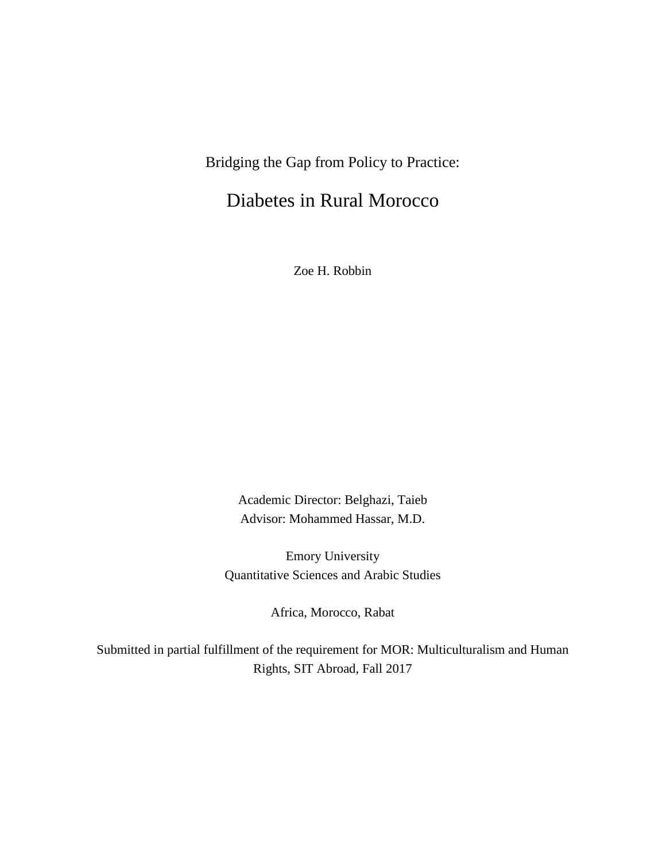# Bridging the Gap from Policy to Practice:

## Diabetes in Rural Morocco

Zoe H. Robbin

Academic Director: Belghazi, Taieb Advisor: Mohammed Hassar, M.D.

Emory University Quantitative Sciences and Arabic Studies

Africa, Morocco, Rabat

Submitted in partial fulfillment of the requirement for MOR: Multiculturalism and Human Rights, SIT Abroad, Fall 2017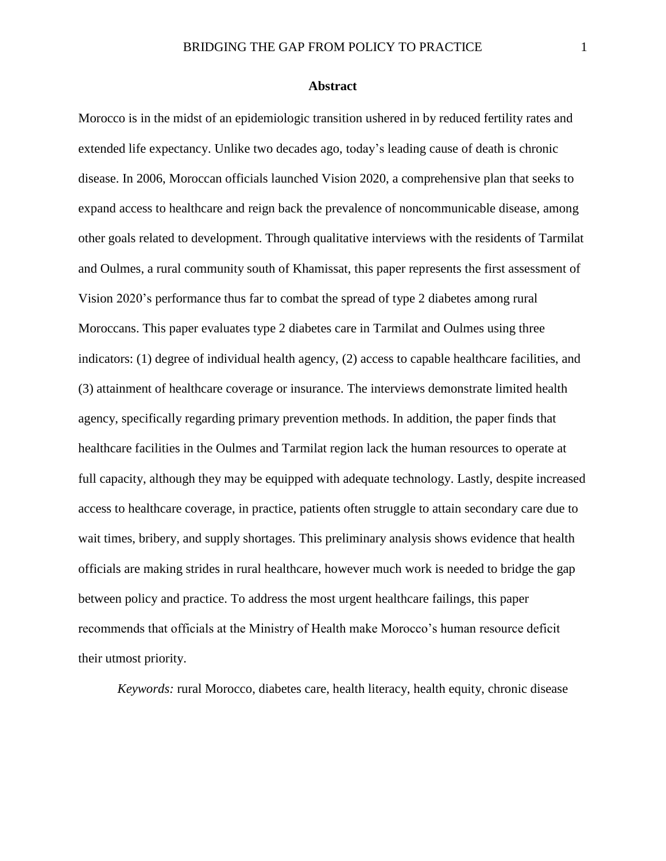#### **Abstract**

<span id="page-2-0"></span>Morocco is in the midst of an epidemiologic transition ushered in by reduced fertility rates and extended life expectancy. Unlike two decades ago, today's leading cause of death is chronic disease. In 2006, Moroccan officials launched Vision 2020, a comprehensive plan that seeks to expand access to healthcare and reign back the prevalence of noncommunicable disease, among other goals related to development. Through qualitative interviews with the residents of Tarmilat and Oulmes, a rural community south of Khamissat, this paper represents the first assessment of Vision 2020's performance thus far to combat the spread of type 2 diabetes among rural Moroccans. This paper evaluates type 2 diabetes care in Tarmilat and Oulmes using three indicators: (1) degree of individual health agency, (2) access to capable healthcare facilities, and (3) attainment of healthcare coverage or insurance. The interviews demonstrate limited health agency, specifically regarding primary prevention methods. In addition, the paper finds that healthcare facilities in the Oulmes and Tarmilat region lack the human resources to operate at full capacity, although they may be equipped with adequate technology. Lastly, despite increased access to healthcare coverage, in practice, patients often struggle to attain secondary care due to wait times, bribery, and supply shortages. This preliminary analysis shows evidence that health officials are making strides in rural healthcare, however much work is needed to bridge the gap between policy and practice. To address the most urgent healthcare failings, this paper recommends that officials at the Ministry of Health make Morocco's human resource deficit their utmost priority.

*Keywords:* rural Morocco, diabetes care, health literacy, health equity, chronic disease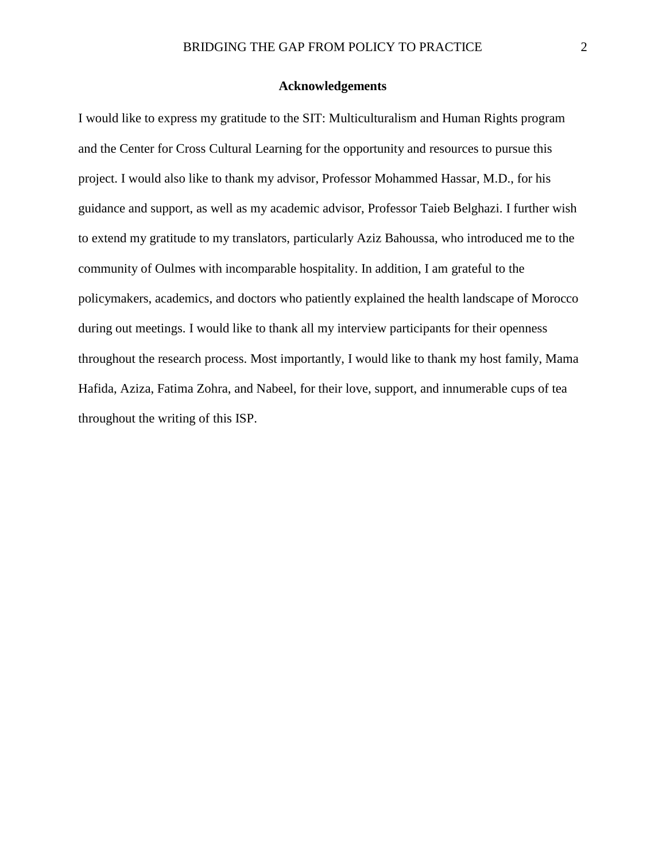#### **Acknowledgements**

<span id="page-3-0"></span>I would like to express my gratitude to the SIT: Multiculturalism and Human Rights program and the Center for Cross Cultural Learning for the opportunity and resources to pursue this project. I would also like to thank my advisor, Professor Mohammed Hassar, M.D., for his guidance and support, as well as my academic advisor, Professor Taieb Belghazi. I further wish to extend my gratitude to my translators, particularly Aziz Bahoussa, who introduced me to the community of Oulmes with incomparable hospitality. In addition, I am grateful to the policymakers, academics, and doctors who patiently explained the health landscape of Morocco during out meetings. I would like to thank all my interview participants for their openness throughout the research process. Most importantly, I would like to thank my host family, Mama Hafida, Aziza, Fatima Zohra, and Nabeel, for their love, support, and innumerable cups of tea throughout the writing of this ISP.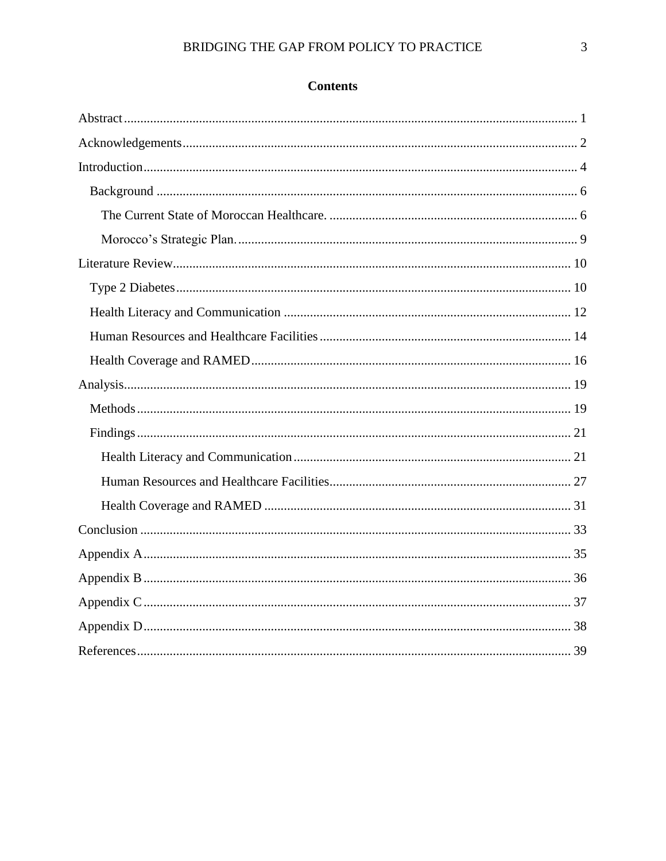### **Contents**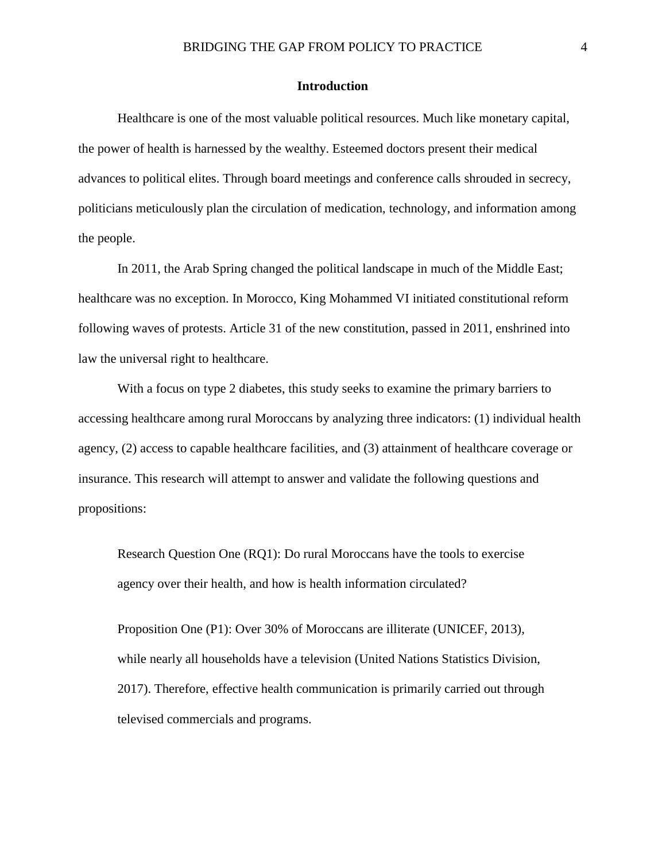#### **Introduction**

<span id="page-5-0"></span>Healthcare is one of the most valuable political resources. Much like monetary capital, the power of health is harnessed by the wealthy. Esteemed doctors present their medical advances to political elites. Through board meetings and conference calls shrouded in secrecy, politicians meticulously plan the circulation of medication, technology, and information among the people.

In 2011, the Arab Spring changed the political landscape in much of the Middle East; healthcare was no exception. In Morocco, King Mohammed VI initiated constitutional reform following waves of protests. Article 31 of the new constitution, passed in 2011, enshrined into law the universal right to healthcare.

With a focus on type 2 diabetes, this study seeks to examine the primary barriers to accessing healthcare among rural Moroccans by analyzing three indicators: (1) individual health agency, (2) access to capable healthcare facilities, and (3) attainment of healthcare coverage or insurance. This research will attempt to answer and validate the following questions and propositions:

Research Question One (RQ1): Do rural Moroccans have the tools to exercise agency over their health, and how is health information circulated?

Proposition One (P1): Over 30% of Moroccans are illiterate (UNICEF, 2013), while nearly all households have a television (United Nations Statistics Division, 2017). Therefore, effective health communication is primarily carried out through televised commercials and programs.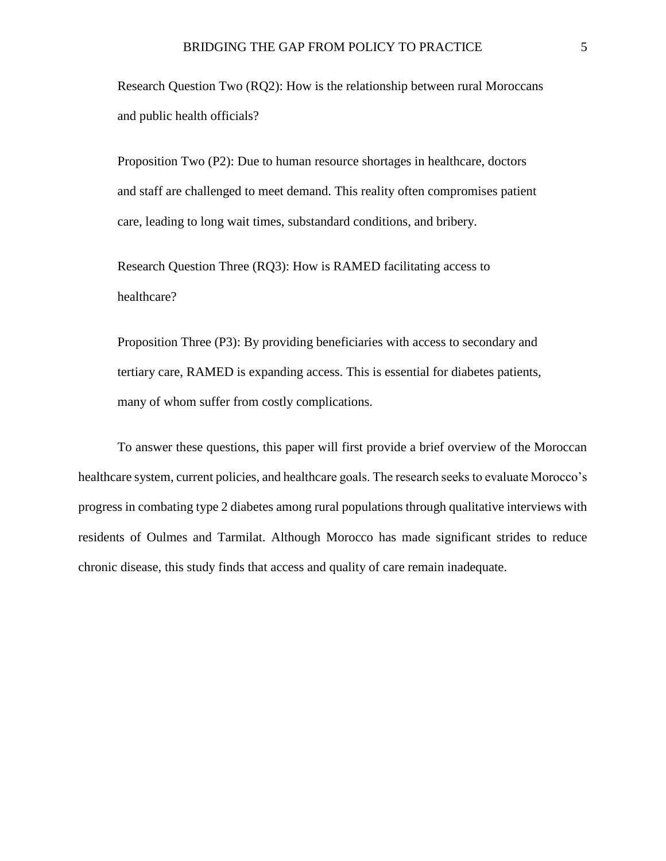Research Question Two (RQ2): How is the relationship between rural Moroccans and public health officials?

Proposition Two (P2): Due to human resource shortages in healthcare, doctors and staff are challenged to meet demand. This reality often compromises patient care, leading to long wait times, substandard conditions, and bribery.

Research Question Three (RQ3): How is RAMED facilitating access to healthcare?

Proposition Three (P3): By providing beneficiaries with access to secondary and tertiary care, RAMED is expanding access. This is essential for diabetes patients, many of whom suffer from costly complications.

To answer these questions, this paper will first provide a brief overview of the Moroccan healthcare system, current policies, and healthcare goals. The research seeks to evaluate Morocco's progress in combating type 2 diabetes among rural populations through qualitative interviews with residents of Oulmes and Tarmilat. Although Morocco has made significant strides to reduce chronic disease, this study finds that access and quality of care remain inadequate.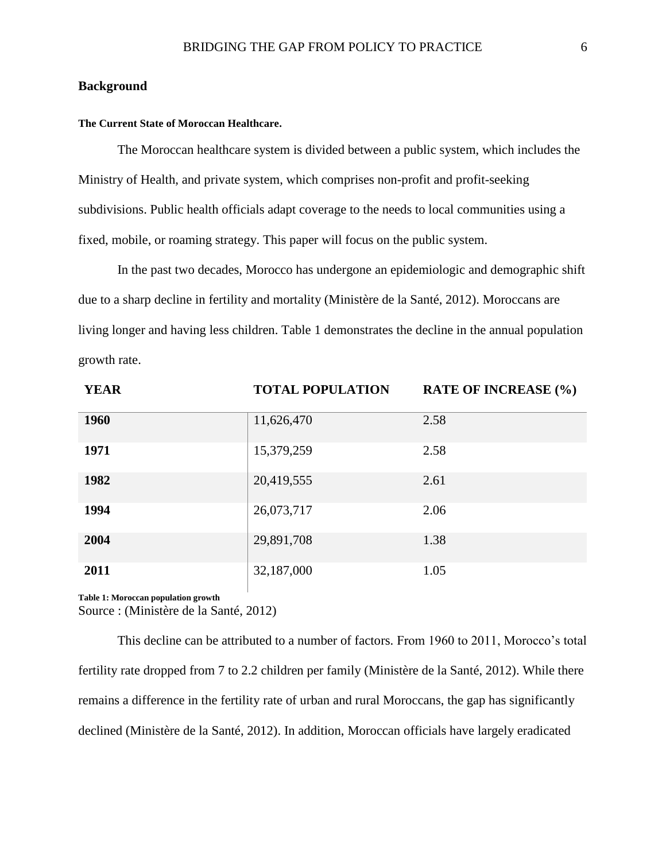#### <span id="page-7-0"></span>**Background**

#### <span id="page-7-1"></span>**The Current State of Moroccan Healthcare.**

The Moroccan healthcare system is divided between a public system, which includes the Ministry of Health, and private system, which comprises non-profit and profit-seeking subdivisions. Public health officials adapt coverage to the needs to local communities using a fixed, mobile, or roaming strategy. This paper will focus on the public system.

In the past two decades, Morocco has undergone an epidemiologic and demographic shift due to a sharp decline in fertility and mortality (Ministère de la Santé, 2012). Moroccans are living longer and having less children. Table 1 demonstrates the decline in the annual population growth rate.

| <b>YEAR</b> | <b>TOTAL POPULATION</b> | <b>RATE OF INCREASE (%)</b> |
|-------------|-------------------------|-----------------------------|
| 1960        | 11,626,470              | 2.58                        |
| 1971        | 15,379,259              | 2.58                        |
| 1982        | 20,419,555              | 2.61                        |
| 1994        | 26,073,717              | 2.06                        |
| 2004        | 29,891,708              | 1.38                        |
| 2011        | 32,187,000              | 1.05                        |

**Table 1: Moroccan population growth**

Source : (Ministère de la Santé, 2012)

This decline can be attributed to a number of factors. From 1960 to 2011, Morocco's total fertility rate dropped from 7 to 2.2 children per family (Ministère de la Santé, 2012). While there remains a difference in the fertility rate of urban and rural Moroccans, the gap has significantly declined (Ministère de la Santé, 2012). In addition, Moroccan officials have largely eradicated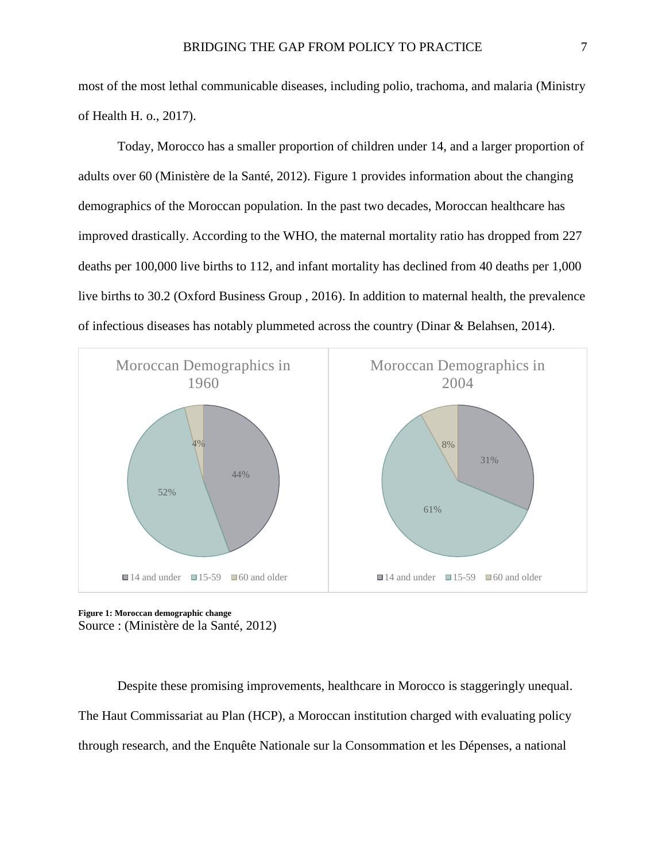most of the most lethal communicable diseases, including polio, trachoma, and malaria (Ministry of Health H. o., 2017).

Today, Morocco has a smaller proportion of children under 14, and a larger proportion of adults over 60 (Ministère de la Santé, 2012). Figure 1 provides information about the changing demographics of the Moroccan population. In the past two decades, Moroccan healthcare has improved drastically. According to the WHO, the maternal mortality ratio has dropped from 227 deaths per 100,000 live births to 112, and infant mortality has declined from 40 deaths per 1,000 live births to 30.2 (Oxford Business Group , 2016). In addition to maternal health, the prevalence of infectious diseases has notably plummeted across the country (Dinar & Belahsen, 2014).



**Figure 1: Moroccan demographic change** Source : (Ministère de la Santé, 2012)

Despite these promising improvements, healthcare in Morocco is staggeringly unequal. The Haut Commissariat au Plan (HCP), a Moroccan institution charged with evaluating policy through research, and the Enquête Nationale sur la Consommation et les Dépenses, a national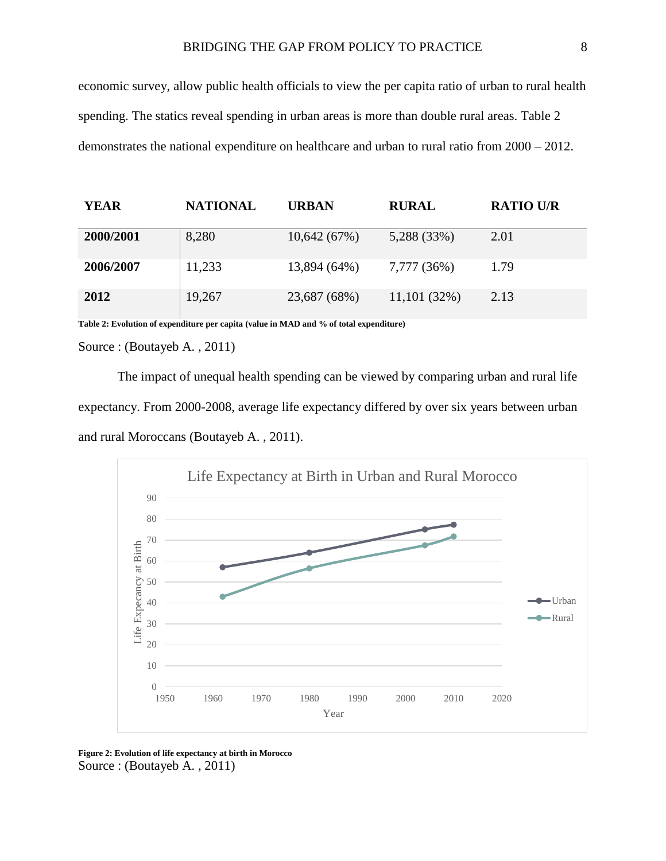economic survey, allow public health officials to view the per capita ratio of urban to rural health spending. The statics reveal spending in urban areas is more than double rural areas. Table 2 demonstrates the national expenditure on healthcare and urban to rural ratio from 2000 – 2012.

| <b>YEAR</b> | <b>NATIONAL</b> | <b>URBAN</b> | <b>RURAL</b> | <b>RATIO U/R</b> |
|-------------|-----------------|--------------|--------------|------------------|
| 2000/2001   | 8,280           | 10,642(67%)  | 5,288 (33%)  | 2.01             |
| 2006/2007   | 11,233          | 13,894 (64%) | 7,777 (36%)  | 1.79             |
| 2012        | 19,267          | 23,687 (68%) | 11,101(32%)  | 2.13             |

**Table 2: Evolution of expenditure per capita (value in MAD and % of total expenditure)**

Source : (Boutayeb A. , 2011)

The impact of unequal health spending can be viewed by comparing urban and rural life expectancy. From 2000-2008, average life expectancy differed by over six years between urban and rural Moroccans (Boutayeb A. , 2011).



**Figure 2: Evolution of life expectancy at birth in Morocco** Source : (Boutayeb A. , 2011)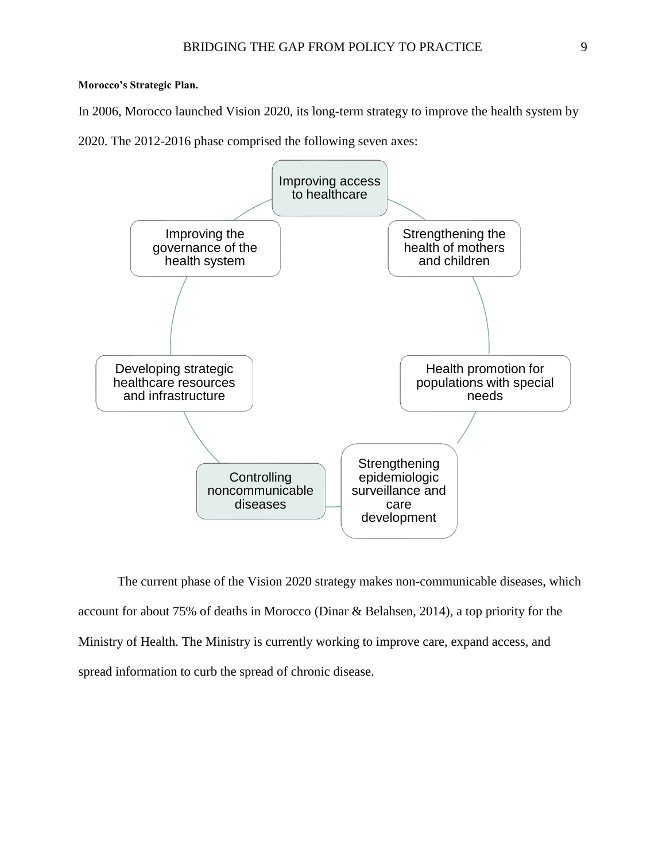#### <span id="page-10-0"></span>**Morocco's Strategic Plan.**

In 2006, Morocco launched Vision 2020, its long-term strategy to improve the health system by

2020. The 2012-2016 phase comprised the following seven axes:



The current phase of the Vision 2020 strategy makes non-communicable diseases, which account for about 75% of deaths in Morocco (Dinar & Belahsen, 2014), a top priority for the Ministry of Health. The Ministry is currently working to improve care, expand access, and spread information to curb the spread of chronic disease.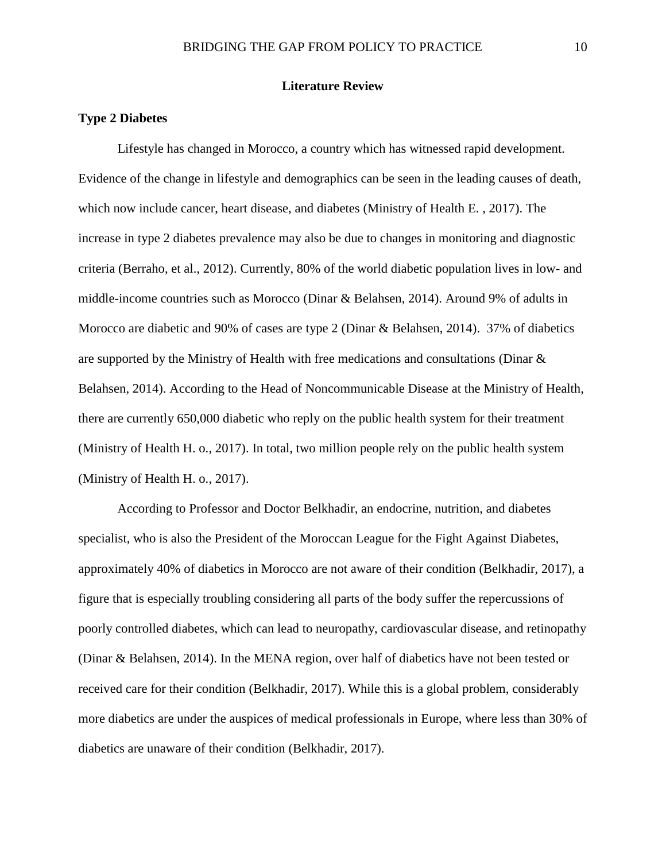#### **Literature Review**

#### <span id="page-11-1"></span><span id="page-11-0"></span>**Type 2 Diabetes**

Lifestyle has changed in Morocco, a country which has witnessed rapid development. Evidence of the change in lifestyle and demographics can be seen in the leading causes of death, which now include cancer, heart disease, and diabetes (Ministry of Health E. , 2017). The increase in type 2 diabetes prevalence may also be due to changes in monitoring and diagnostic criteria (Berraho, et al., 2012). Currently, 80% of the world diabetic population lives in low- and middle-income countries such as Morocco (Dinar & Belahsen, 2014). Around 9% of adults in Morocco are diabetic and 90% of cases are type 2 (Dinar & Belahsen, 2014). 37% of diabetics are supported by the Ministry of Health with free medications and consultations (Dinar & Belahsen, 2014). According to the Head of Noncommunicable Disease at the Ministry of Health, there are currently 650,000 diabetic who reply on the public health system for their treatment (Ministry of Health H. o., 2017). In total, two million people rely on the public health system (Ministry of Health H. o., 2017).

According to Professor and Doctor Belkhadir, an endocrine, nutrition, and diabetes specialist, who is also the President of the Moroccan League for the Fight Against Diabetes, approximately 40% of diabetics in Morocco are not aware of their condition (Belkhadir, 2017), a figure that is especially troubling considering all parts of the body suffer the repercussions of poorly controlled diabetes, which can lead to neuropathy, cardiovascular disease, and retinopathy (Dinar & Belahsen, 2014). In the MENA region, over half of diabetics have not been tested or received care for their condition (Belkhadir, 2017). While this is a global problem, considerably more diabetics are under the auspices of medical professionals in Europe, where less than 30% of diabetics are unaware of their condition (Belkhadir, 2017).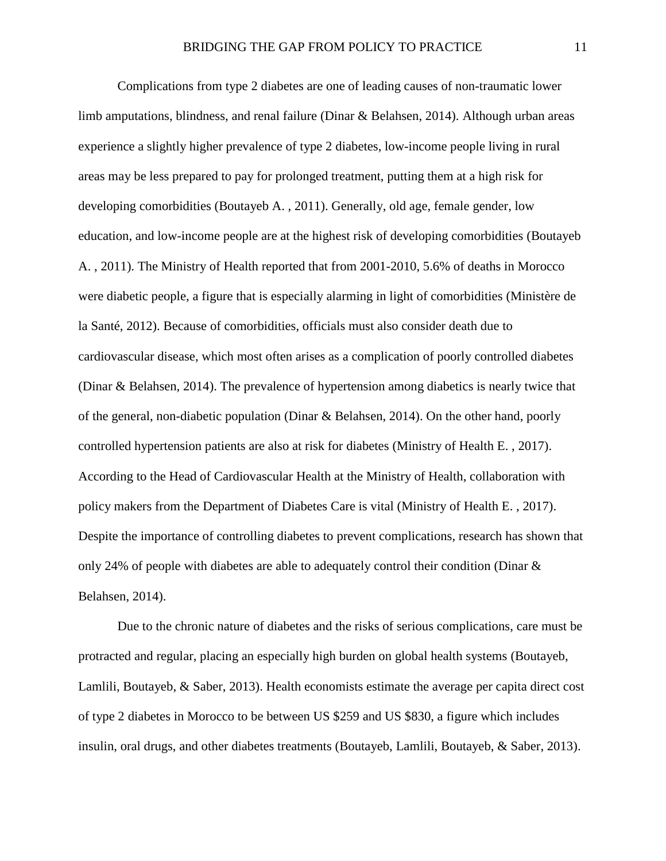Complications from type 2 diabetes are one of leading causes of non-traumatic lower limb amputations, blindness, and renal failure (Dinar & Belahsen, 2014). Although urban areas experience a slightly higher prevalence of type 2 diabetes, low-income people living in rural areas may be less prepared to pay for prolonged treatment, putting them at a high risk for developing comorbidities (Boutayeb A. , 2011). Generally, old age, female gender, low education, and low-income people are at the highest risk of developing comorbidities (Boutayeb A. , 2011). The Ministry of Health reported that from 2001-2010, 5.6% of deaths in Morocco were diabetic people, a figure that is especially alarming in light of comorbidities (Ministère de la Santé, 2012). Because of comorbidities, officials must also consider death due to cardiovascular disease, which most often arises as a complication of poorly controlled diabetes (Dinar & Belahsen, 2014). The prevalence of hypertension among diabetics is nearly twice that of the general, non-diabetic population (Dinar & Belahsen, 2014). On the other hand, poorly controlled hypertension patients are also at risk for diabetes (Ministry of Health E. , 2017). According to the Head of Cardiovascular Health at the Ministry of Health, collaboration with policy makers from the Department of Diabetes Care is vital (Ministry of Health E. , 2017). Despite the importance of controlling diabetes to prevent complications, research has shown that only 24% of people with diabetes are able to adequately control their condition (Dinar & Belahsen, 2014).

Due to the chronic nature of diabetes and the risks of serious complications, care must be protracted and regular, placing an especially high burden on global health systems (Boutayeb, Lamlili, Boutayeb, & Saber, 2013). Health economists estimate the average per capita direct cost of type 2 diabetes in Morocco to be between US \$259 and US \$830, a figure which includes insulin, oral drugs, and other diabetes treatments (Boutayeb, Lamlili, Boutayeb, & Saber, 2013).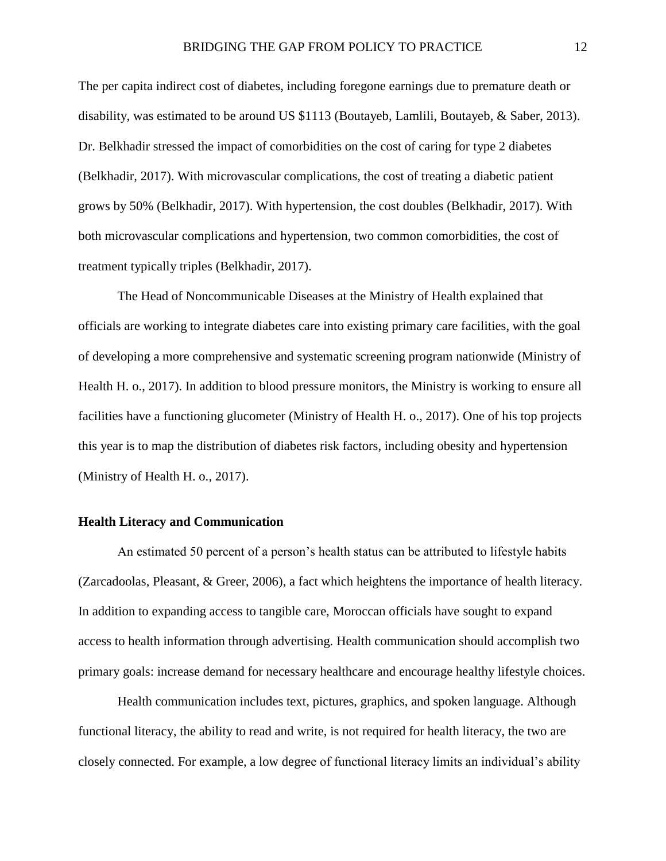The per capita indirect cost of diabetes, including foregone earnings due to premature death or disability, was estimated to be around US \$1113 (Boutayeb, Lamlili, Boutayeb, & Saber, 2013). Dr. Belkhadir stressed the impact of comorbidities on the cost of caring for type 2 diabetes (Belkhadir, 2017). With microvascular complications, the cost of treating a diabetic patient grows by 50% (Belkhadir, 2017). With hypertension, the cost doubles (Belkhadir, 2017). With both microvascular complications and hypertension, two common comorbidities, the cost of treatment typically triples (Belkhadir, 2017).

The Head of Noncommunicable Diseases at the Ministry of Health explained that officials are working to integrate diabetes care into existing primary care facilities, with the goal of developing a more comprehensive and systematic screening program nationwide (Ministry of Health H. o., 2017). In addition to blood pressure monitors, the Ministry is working to ensure all facilities have a functioning glucometer (Ministry of Health H. o., 2017). One of his top projects this year is to map the distribution of diabetes risk factors, including obesity and hypertension (Ministry of Health H. o., 2017).

#### <span id="page-13-0"></span>**Health Literacy and Communication**

An estimated 50 percent of a person's health status can be attributed to lifestyle habits (Zarcadoolas, Pleasant, & Greer, 2006), a fact which heightens the importance of health literacy. In addition to expanding access to tangible care, Moroccan officials have sought to expand access to health information through advertising. Health communication should accomplish two primary goals: increase demand for necessary healthcare and encourage healthy lifestyle choices.

Health communication includes text, pictures, graphics, and spoken language. Although functional literacy, the ability to read and write, is not required for health literacy, the two are closely connected. For example, a low degree of functional literacy limits an individual's ability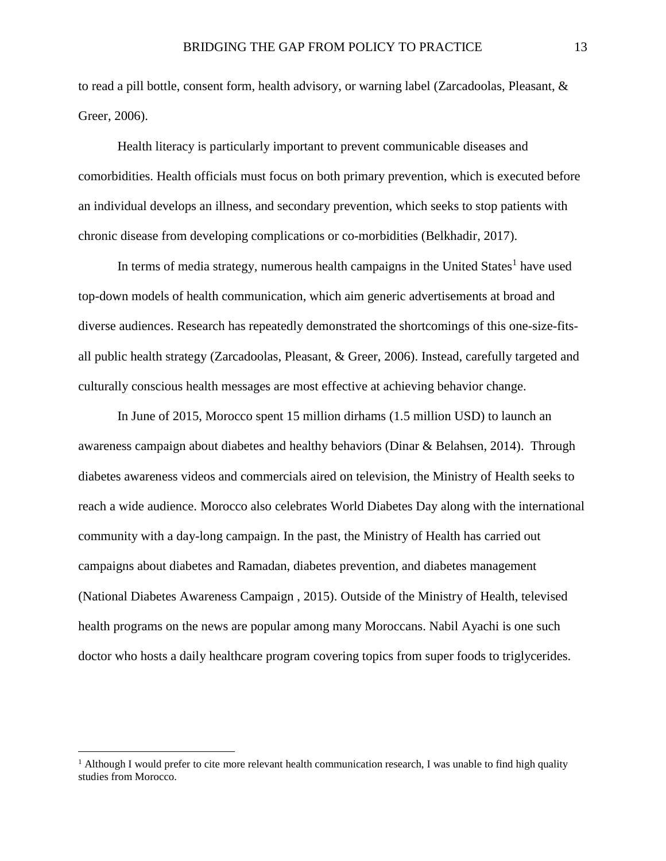to read a pill bottle, consent form, health advisory, or warning label (Zarcadoolas, Pleasant, & Greer, 2006).

Health literacy is particularly important to prevent communicable diseases and comorbidities. Health officials must focus on both primary prevention, which is executed before an individual develops an illness, and secondary prevention, which seeks to stop patients with chronic disease from developing complications or co-morbidities (Belkhadir, 2017).

In terms of media strategy, numerous health campaigns in the United States<sup>1</sup> have used top-down models of health communication, which aim generic advertisements at broad and diverse audiences. Research has repeatedly demonstrated the shortcomings of this one-size-fitsall public health strategy (Zarcadoolas, Pleasant, & Greer, 2006). Instead, carefully targeted and culturally conscious health messages are most effective at achieving behavior change.

In June of 2015, Morocco spent 15 million dirhams (1.5 million USD) to launch an awareness campaign about diabetes and healthy behaviors (Dinar & Belahsen, 2014). Through diabetes awareness videos and commercials aired on television, the Ministry of Health seeks to reach a wide audience. Morocco also celebrates World Diabetes Day along with the international community with a day-long campaign. In the past, the Ministry of Health has carried out campaigns about diabetes and Ramadan, diabetes prevention, and diabetes management (National Diabetes Awareness Campaign , 2015). Outside of the Ministry of Health, televised health programs on the news are popular among many Moroccans. Nabil Ayachi is one such doctor who hosts a daily healthcare program covering topics from super foods to triglycerides.

 $\overline{a}$ 

<sup>&</sup>lt;sup>1</sup> Although I would prefer to cite more relevant health communication research, I was unable to find high quality studies from Morocco.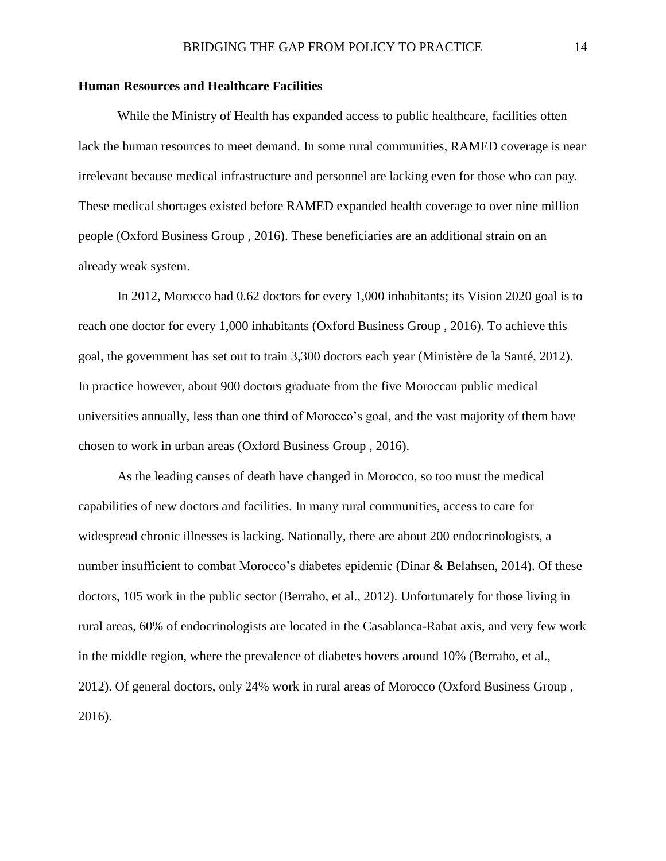#### <span id="page-15-0"></span>**Human Resources and Healthcare Facilities**

While the Ministry of Health has expanded access to public healthcare, facilities often lack the human resources to meet demand. In some rural communities, RAMED coverage is near irrelevant because medical infrastructure and personnel are lacking even for those who can pay. These medical shortages existed before RAMED expanded health coverage to over nine million people (Oxford Business Group , 2016). These beneficiaries are an additional strain on an already weak system.

In 2012, Morocco had 0.62 doctors for every 1,000 inhabitants; its Vision 2020 goal is to reach one doctor for every 1,000 inhabitants (Oxford Business Group , 2016). To achieve this goal, the government has set out to train 3,300 doctors each year (Ministère de la Santé, 2012). In practice however, about 900 doctors graduate from the five Moroccan public medical universities annually, less than one third of Morocco's goal, and the vast majority of them have chosen to work in urban areas (Oxford Business Group , 2016).

As the leading causes of death have changed in Morocco, so too must the medical capabilities of new doctors and facilities. In many rural communities, access to care for widespread chronic illnesses is lacking. Nationally, there are about 200 endocrinologists, a number insufficient to combat Morocco's diabetes epidemic (Dinar & Belahsen, 2014). Of these doctors, 105 work in the public sector (Berraho, et al., 2012). Unfortunately for those living in rural areas, 60% of endocrinologists are located in the Casablanca-Rabat axis, and very few work in the middle region, where the prevalence of diabetes hovers around 10% (Berraho, et al., 2012). Of general doctors, only 24% work in rural areas of Morocco (Oxford Business Group , 2016).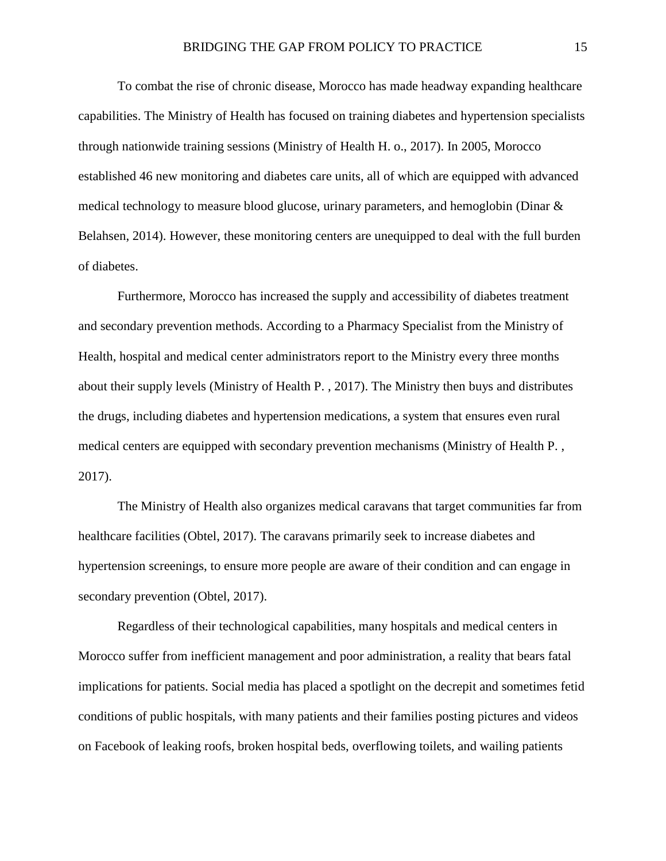To combat the rise of chronic disease, Morocco has made headway expanding healthcare capabilities. The Ministry of Health has focused on training diabetes and hypertension specialists through nationwide training sessions (Ministry of Health H. o., 2017). In 2005, Morocco established 46 new monitoring and diabetes care units, all of which are equipped with advanced medical technology to measure blood glucose, urinary parameters, and hemoglobin (Dinar & Belahsen, 2014). However, these monitoring centers are unequipped to deal with the full burden of diabetes.

Furthermore, Morocco has increased the supply and accessibility of diabetes treatment and secondary prevention methods. According to a Pharmacy Specialist from the Ministry of Health, hospital and medical center administrators report to the Ministry every three months about their supply levels (Ministry of Health P. , 2017). The Ministry then buys and distributes the drugs, including diabetes and hypertension medications, a system that ensures even rural medical centers are equipped with secondary prevention mechanisms (Ministry of Health P. , 2017).

The Ministry of Health also organizes medical caravans that target communities far from healthcare facilities (Obtel, 2017). The caravans primarily seek to increase diabetes and hypertension screenings, to ensure more people are aware of their condition and can engage in secondary prevention (Obtel, 2017).

Regardless of their technological capabilities, many hospitals and medical centers in Morocco suffer from inefficient management and poor administration, a reality that bears fatal implications for patients. Social media has placed a spotlight on the decrepit and sometimes fetid conditions of public hospitals, with many patients and their families posting pictures and videos on Facebook of leaking roofs, broken hospital beds, overflowing toilets, and wailing patients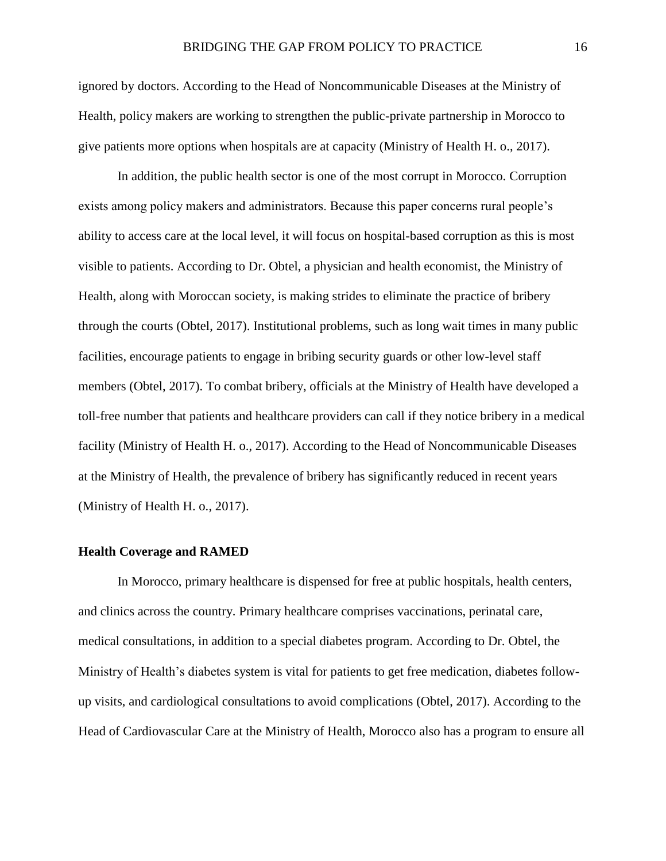ignored by doctors. According to the Head of Noncommunicable Diseases at the Ministry of Health, policy makers are working to strengthen the public-private partnership in Morocco to give patients more options when hospitals are at capacity (Ministry of Health H. o., 2017).

In addition, the public health sector is one of the most corrupt in Morocco. Corruption exists among policy makers and administrators. Because this paper concerns rural people's ability to access care at the local level, it will focus on hospital-based corruption as this is most visible to patients. According to Dr. Obtel, a physician and health economist, the Ministry of Health, along with Moroccan society, is making strides to eliminate the practice of bribery through the courts (Obtel, 2017). Institutional problems, such as long wait times in many public facilities, encourage patients to engage in bribing security guards or other low-level staff members (Obtel, 2017). To combat bribery, officials at the Ministry of Health have developed a toll-free number that patients and healthcare providers can call if they notice bribery in a medical facility (Ministry of Health H. o., 2017). According to the Head of Noncommunicable Diseases at the Ministry of Health, the prevalence of bribery has significantly reduced in recent years (Ministry of Health H. o., 2017).

#### <span id="page-17-0"></span>**Health Coverage and RAMED**

In Morocco, primary healthcare is dispensed for free at public hospitals, health centers, and clinics across the country. Primary healthcare comprises vaccinations, perinatal care, medical consultations, in addition to a special diabetes program. According to Dr. Obtel, the Ministry of Health's diabetes system is vital for patients to get free medication, diabetes followup visits, and cardiological consultations to avoid complications (Obtel, 2017). According to the Head of Cardiovascular Care at the Ministry of Health, Morocco also has a program to ensure all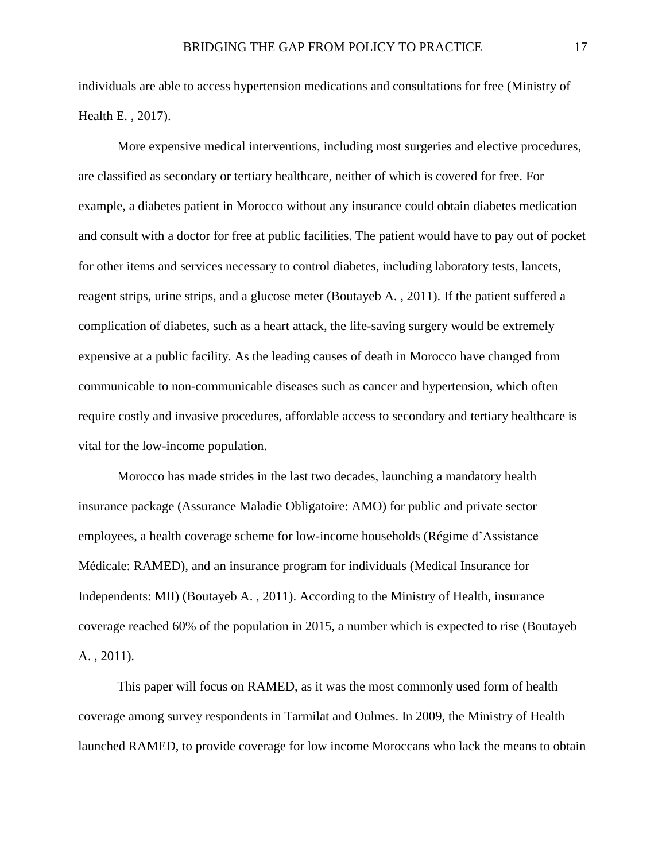individuals are able to access hypertension medications and consultations for free (Ministry of Health E. , 2017).

More expensive medical interventions, including most surgeries and elective procedures, are classified as secondary or tertiary healthcare, neither of which is covered for free. For example, a diabetes patient in Morocco without any insurance could obtain diabetes medication and consult with a doctor for free at public facilities. The patient would have to pay out of pocket for other items and services necessary to control diabetes, including laboratory tests, lancets, reagent strips, urine strips, and a glucose meter (Boutayeb A. , 2011). If the patient suffered a complication of diabetes, such as a heart attack, the life-saving surgery would be extremely expensive at a public facility. As the leading causes of death in Morocco have changed from communicable to non-communicable diseases such as cancer and hypertension, which often require costly and invasive procedures, affordable access to secondary and tertiary healthcare is vital for the low-income population.

Morocco has made strides in the last two decades, launching a mandatory health insurance package (Assurance Maladie Obligatoire: AMO) for public and private sector employees, a health coverage scheme for low-income households (Régime d'Assistance Médicale: RAMED), and an insurance program for individuals (Medical Insurance for Independents: MII) (Boutayeb A. , 2011). According to the Ministry of Health, insurance coverage reached 60% of the population in 2015, a number which is expected to rise (Boutayeb A. , 2011).

This paper will focus on RAMED, as it was the most commonly used form of health coverage among survey respondents in Tarmilat and Oulmes. In 2009, the Ministry of Health launched RAMED, to provide coverage for low income Moroccans who lack the means to obtain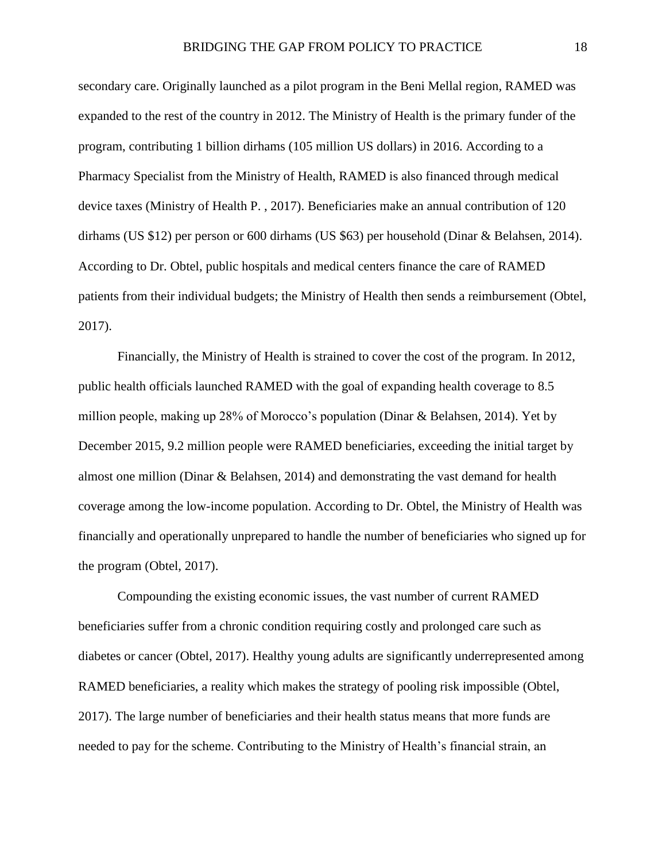secondary care. Originally launched as a pilot program in the Beni Mellal region, RAMED was expanded to the rest of the country in 2012. The Ministry of Health is the primary funder of the program, contributing 1 billion dirhams (105 million US dollars) in 2016. According to a Pharmacy Specialist from the Ministry of Health, RAMED is also financed through medical device taxes (Ministry of Health P. , 2017). Beneficiaries make an annual contribution of 120 dirhams (US \$12) per person or 600 dirhams (US \$63) per household (Dinar & Belahsen, 2014). According to Dr. Obtel, public hospitals and medical centers finance the care of RAMED patients from their individual budgets; the Ministry of Health then sends a reimbursement (Obtel, 2017).

Financially, the Ministry of Health is strained to cover the cost of the program. In 2012, public health officials launched RAMED with the goal of expanding health coverage to 8.5 million people, making up 28% of Morocco's population (Dinar & Belahsen, 2014). Yet by December 2015, 9.2 million people were RAMED beneficiaries, exceeding the initial target by almost one million (Dinar & Belahsen, 2014) and demonstrating the vast demand for health coverage among the low-income population. According to Dr. Obtel, the Ministry of Health was financially and operationally unprepared to handle the number of beneficiaries who signed up for the program (Obtel, 2017).

Compounding the existing economic issues, the vast number of current RAMED beneficiaries suffer from a chronic condition requiring costly and prolonged care such as diabetes or cancer (Obtel, 2017). Healthy young adults are significantly underrepresented among RAMED beneficiaries, a reality which makes the strategy of pooling risk impossible (Obtel, 2017). The large number of beneficiaries and their health status means that more funds are needed to pay for the scheme. Contributing to the Ministry of Health's financial strain, an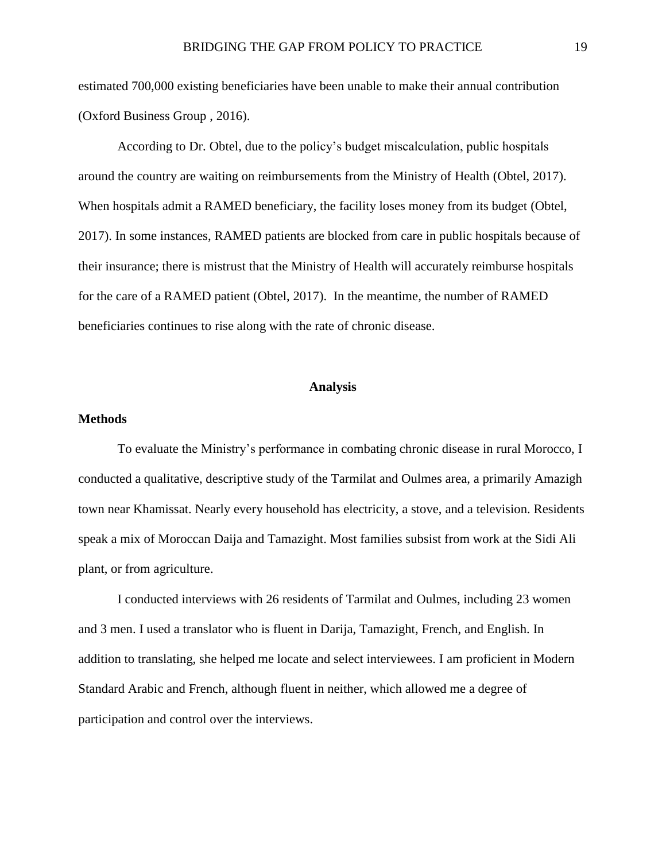estimated 700,000 existing beneficiaries have been unable to make their annual contribution (Oxford Business Group , 2016).

According to Dr. Obtel, due to the policy's budget miscalculation, public hospitals around the country are waiting on reimbursements from the Ministry of Health (Obtel, 2017). When hospitals admit a RAMED beneficiary, the facility loses money from its budget (Obtel, 2017). In some instances, RAMED patients are blocked from care in public hospitals because of their insurance; there is mistrust that the Ministry of Health will accurately reimburse hospitals for the care of a RAMED patient (Obtel, 2017). In the meantime, the number of RAMED beneficiaries continues to rise along with the rate of chronic disease.

#### **Analysis**

#### <span id="page-20-1"></span><span id="page-20-0"></span>**Methods**

To evaluate the Ministry's performance in combating chronic disease in rural Morocco, I conducted a qualitative, descriptive study of the Tarmilat and Oulmes area, a primarily Amazigh town near Khamissat. Nearly every household has electricity, a stove, and a television. Residents speak a mix of Moroccan Daija and Tamazight. Most families subsist from work at the Sidi Ali plant, or from agriculture.

I conducted interviews with 26 residents of Tarmilat and Oulmes, including 23 women and 3 men. I used a translator who is fluent in Darija, Tamazight, French, and English. In addition to translating, she helped me locate and select interviewees. I am proficient in Modern Standard Arabic and French, although fluent in neither, which allowed me a degree of participation and control over the interviews.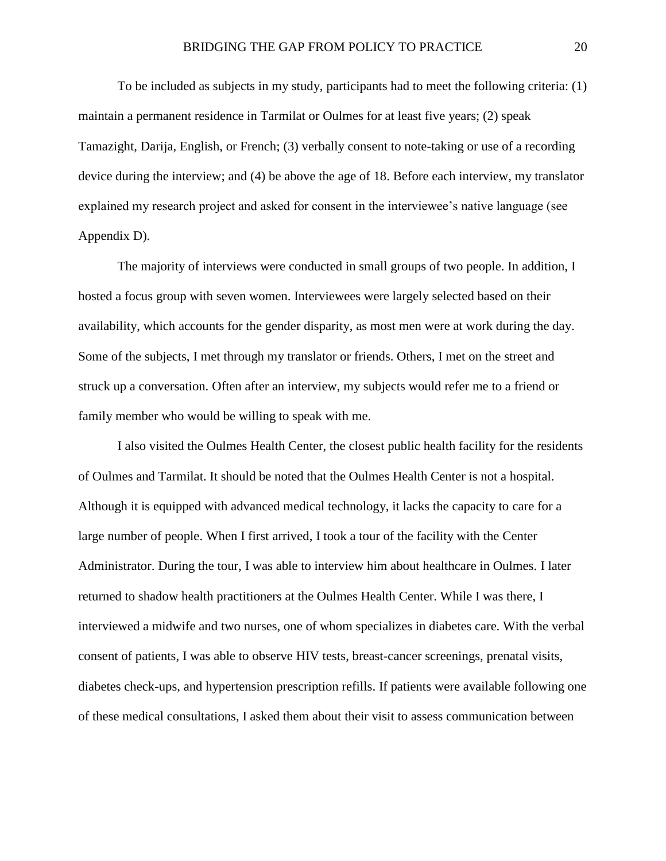To be included as subjects in my study, participants had to meet the following criteria: (1) maintain a permanent residence in Tarmilat or Oulmes for at least five years; (2) speak Tamazight, Darija, English, or French; (3) verbally consent to note-taking or use of a recording device during the interview; and (4) be above the age of 18. Before each interview, my translator explained my research project and asked for consent in the interviewee's native language (see Appendix D).

The majority of interviews were conducted in small groups of two people. In addition, I hosted a focus group with seven women. Interviewees were largely selected based on their availability, which accounts for the gender disparity, as most men were at work during the day. Some of the subjects, I met through my translator or friends. Others, I met on the street and struck up a conversation. Often after an interview, my subjects would refer me to a friend or family member who would be willing to speak with me.

I also visited the Oulmes Health Center, the closest public health facility for the residents of Oulmes and Tarmilat. It should be noted that the Oulmes Health Center is not a hospital. Although it is equipped with advanced medical technology, it lacks the capacity to care for a large number of people. When I first arrived, I took a tour of the facility with the Center Administrator. During the tour, I was able to interview him about healthcare in Oulmes. I later returned to shadow health practitioners at the Oulmes Health Center. While I was there, I interviewed a midwife and two nurses, one of whom specializes in diabetes care. With the verbal consent of patients, I was able to observe HIV tests, breast-cancer screenings, prenatal visits, diabetes check-ups, and hypertension prescription refills. If patients were available following one of these medical consultations, I asked them about their visit to assess communication between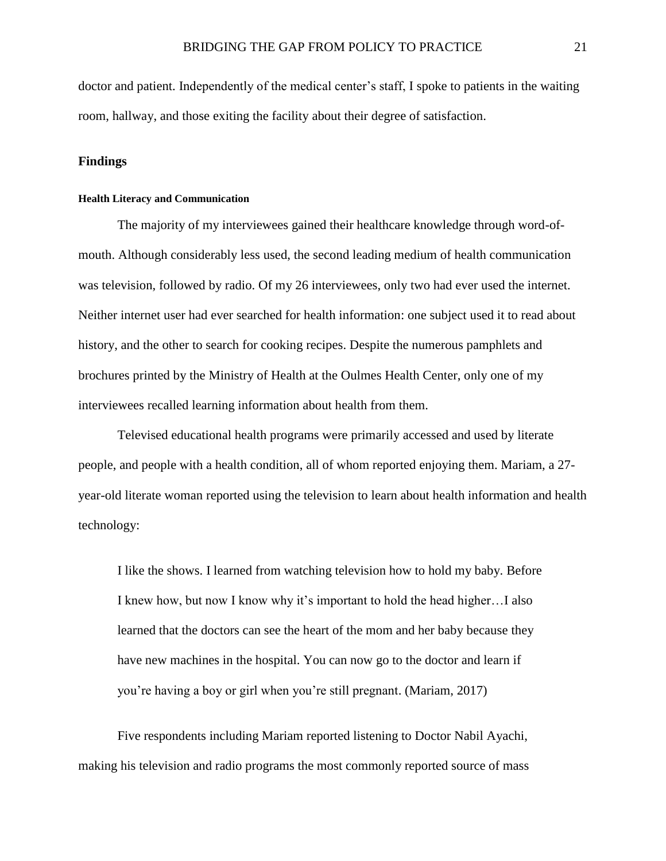doctor and patient. Independently of the medical center's staff, I spoke to patients in the waiting room, hallway, and those exiting the facility about their degree of satisfaction.

#### <span id="page-22-0"></span>**Findings**

#### <span id="page-22-1"></span>**Health Literacy and Communication**

The majority of my interviewees gained their healthcare knowledge through word-ofmouth. Although considerably less used, the second leading medium of health communication was television, followed by radio. Of my 26 interviewees, only two had ever used the internet. Neither internet user had ever searched for health information: one subject used it to read about history, and the other to search for cooking recipes. Despite the numerous pamphlets and brochures printed by the Ministry of Health at the Oulmes Health Center, only one of my interviewees recalled learning information about health from them.

Televised educational health programs were primarily accessed and used by literate people, and people with a health condition, all of whom reported enjoying them. Mariam, a 27 year-old literate woman reported using the television to learn about health information and health technology:

I like the shows. I learned from watching television how to hold my baby. Before I knew how, but now I know why it's important to hold the head higher…I also learned that the doctors can see the heart of the mom and her baby because they have new machines in the hospital. You can now go to the doctor and learn if you're having a boy or girl when you're still pregnant. (Mariam, 2017)

Five respondents including Mariam reported listening to Doctor Nabil Ayachi, making his television and radio programs the most commonly reported source of mass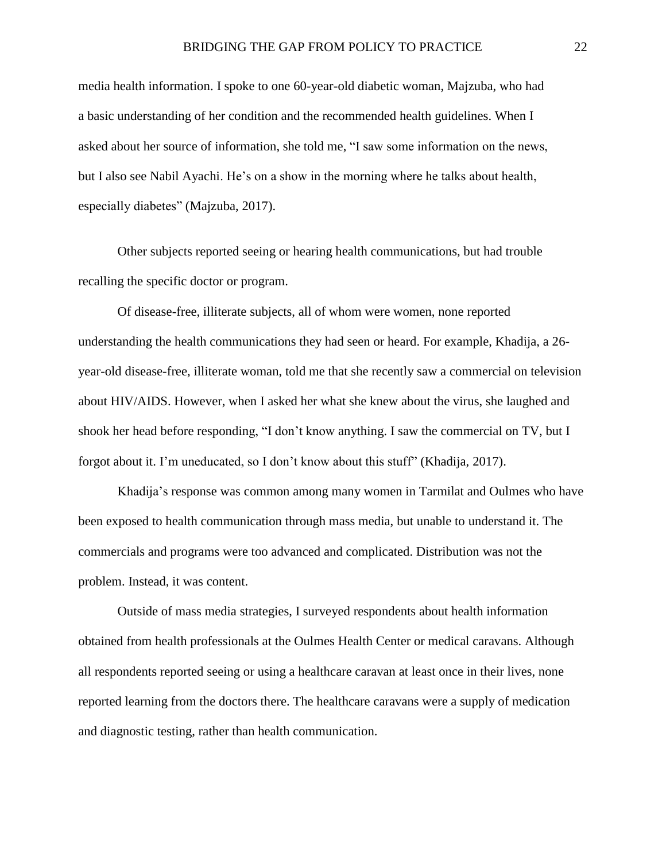media health information. I spoke to one 60-year-old diabetic woman, Majzuba, who had a basic understanding of her condition and the recommended health guidelines. When I asked about her source of information, she told me, "I saw some information on the news, but I also see Nabil Ayachi. He's on a show in the morning where he talks about health, especially diabetes" (Majzuba, 2017).

Other subjects reported seeing or hearing health communications, but had trouble recalling the specific doctor or program.

Of disease-free, illiterate subjects, all of whom were women, none reported understanding the health communications they had seen or heard. For example, Khadija, a 26 year-old disease-free, illiterate woman, told me that she recently saw a commercial on television about HIV/AIDS. However, when I asked her what she knew about the virus, she laughed and shook her head before responding, "I don't know anything. I saw the commercial on TV, but I forgot about it. I'm uneducated, so I don't know about this stuff" (Khadija, 2017).

Khadija's response was common among many women in Tarmilat and Oulmes who have been exposed to health communication through mass media, but unable to understand it. The commercials and programs were too advanced and complicated. Distribution was not the problem. Instead, it was content.

Outside of mass media strategies, I surveyed respondents about health information obtained from health professionals at the Oulmes Health Center or medical caravans. Although all respondents reported seeing or using a healthcare caravan at least once in their lives, none reported learning from the doctors there. The healthcare caravans were a supply of medication and diagnostic testing, rather than health communication.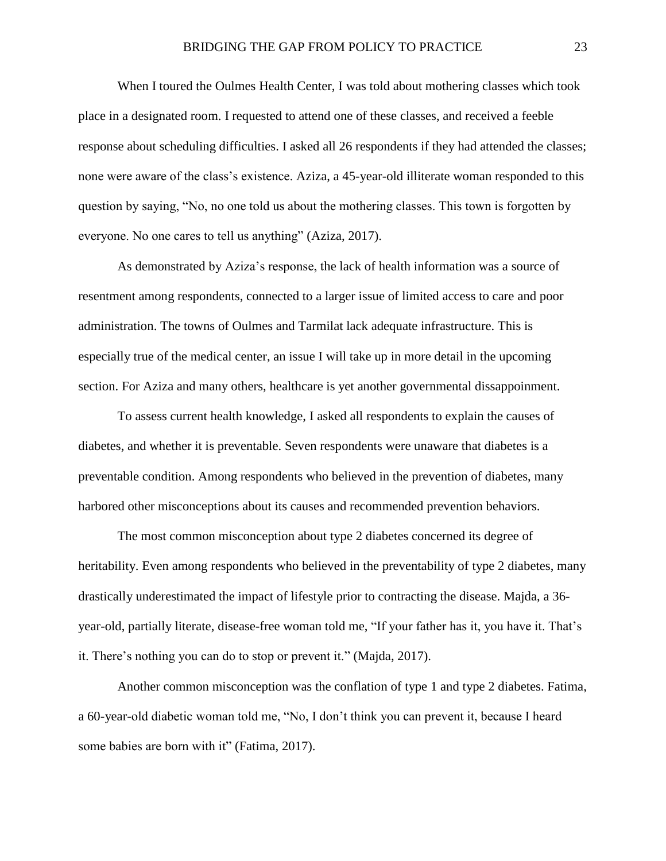When I toured the Oulmes Health Center, I was told about mothering classes which took place in a designated room. I requested to attend one of these classes, and received a feeble response about scheduling difficulties. I asked all 26 respondents if they had attended the classes; none were aware of the class's existence. Aziza, a 45-year-old illiterate woman responded to this question by saying, "No, no one told us about the mothering classes. This town is forgotten by everyone. No one cares to tell us anything" (Aziza, 2017).

As demonstrated by Aziza's response, the lack of health information was a source of resentment among respondents, connected to a larger issue of limited access to care and poor administration. The towns of Oulmes and Tarmilat lack adequate infrastructure. This is especially true of the medical center, an issue I will take up in more detail in the upcoming section. For Aziza and many others, healthcare is yet another governmental dissappoinment.

To assess current health knowledge, I asked all respondents to explain the causes of diabetes, and whether it is preventable. Seven respondents were unaware that diabetes is a preventable condition. Among respondents who believed in the prevention of diabetes, many harbored other misconceptions about its causes and recommended prevention behaviors.

The most common misconception about type 2 diabetes concerned its degree of heritability. Even among respondents who believed in the preventability of type 2 diabetes, many drastically underestimated the impact of lifestyle prior to contracting the disease. Majda, a 36 year-old, partially literate, disease-free woman told me, "If your father has it, you have it. That's it. There's nothing you can do to stop or prevent it." (Majda, 2017).

Another common misconception was the conflation of type 1 and type 2 diabetes. Fatima, a 60-year-old diabetic woman told me, "No, I don't think you can prevent it, because I heard some babies are born with it" (Fatima, 2017).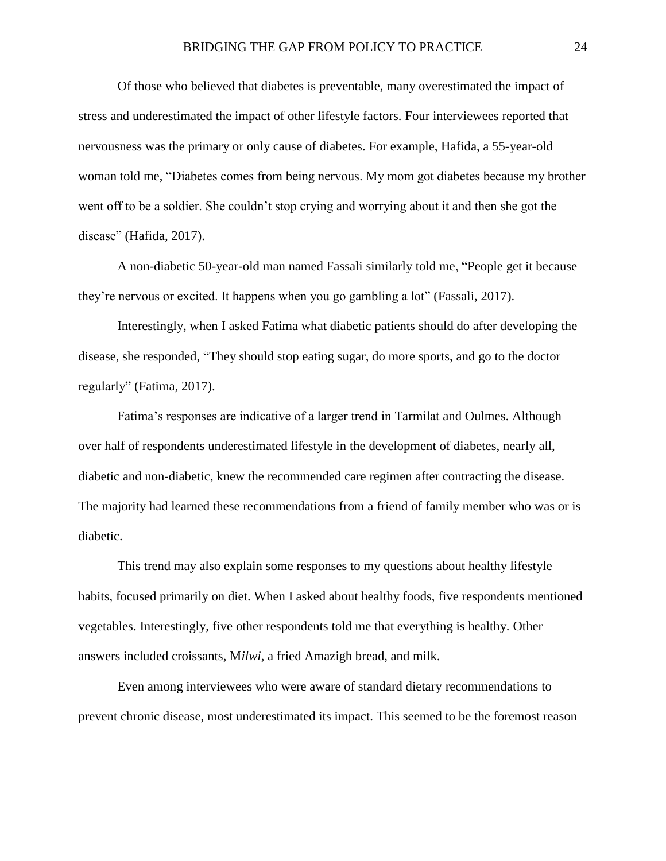Of those who believed that diabetes is preventable, many overestimated the impact of stress and underestimated the impact of other lifestyle factors. Four interviewees reported that nervousness was the primary or only cause of diabetes. For example, Hafida, a 55-year-old woman told me, "Diabetes comes from being nervous. My mom got diabetes because my brother went off to be a soldier. She couldn't stop crying and worrying about it and then she got the disease" (Hafida, 2017).

A non-diabetic 50-year-old man named Fassali similarly told me, "People get it because they're nervous or excited. It happens when you go gambling a lot" (Fassali, 2017).

Interestingly, when I asked Fatima what diabetic patients should do after developing the disease, she responded, "They should stop eating sugar, do more sports, and go to the doctor regularly" (Fatima, 2017).

Fatima's responses are indicative of a larger trend in Tarmilat and Oulmes. Although over half of respondents underestimated lifestyle in the development of diabetes, nearly all, diabetic and non-diabetic, knew the recommended care regimen after contracting the disease. The majority had learned these recommendations from a friend of family member who was or is diabetic.

This trend may also explain some responses to my questions about healthy lifestyle habits, focused primarily on diet. When I asked about healthy foods, five respondents mentioned vegetables. Interestingly, five other respondents told me that everything is healthy. Other answers included croissants, M*ilwi*, a fried Amazigh bread, and milk.

Even among interviewees who were aware of standard dietary recommendations to prevent chronic disease, most underestimated its impact. This seemed to be the foremost reason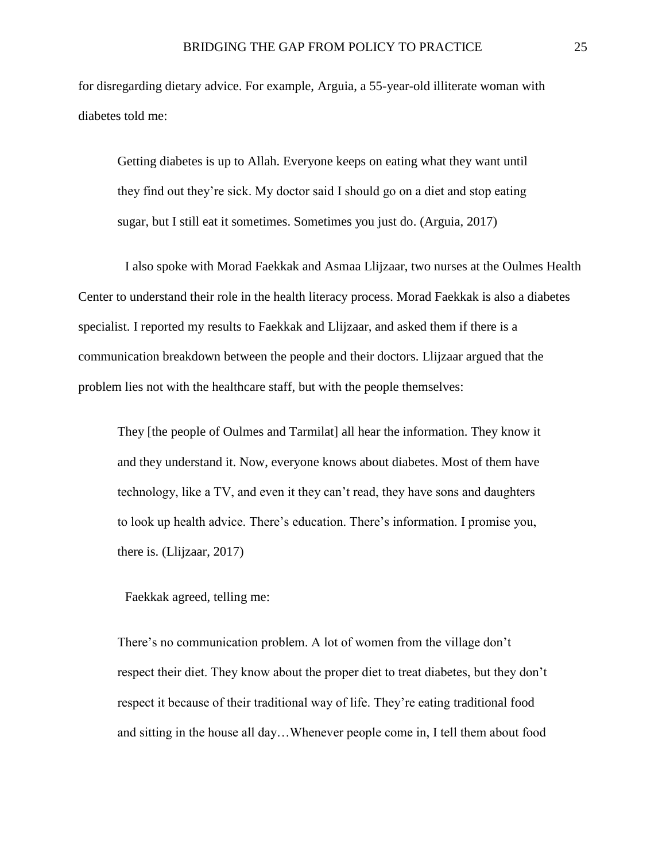for disregarding dietary advice. For example, Arguia, a 55-year-old illiterate woman with diabetes told me:

Getting diabetes is up to Allah. Everyone keeps on eating what they want until they find out they're sick. My doctor said I should go on a diet and stop eating sugar, but I still eat it sometimes. Sometimes you just do. (Arguia, 2017)

I also spoke with Morad Faekkak and Asmaa Llijzaar, two nurses at the Oulmes Health Center to understand their role in the health literacy process. Morad Faekkak is also a diabetes specialist. I reported my results to Faekkak and Llijzaar, and asked them if there is a communication breakdown between the people and their doctors. Llijzaar argued that the problem lies not with the healthcare staff, but with the people themselves:

They [the people of Oulmes and Tarmilat] all hear the information. They know it and they understand it. Now, everyone knows about diabetes. Most of them have technology, like a TV, and even it they can't read, they have sons and daughters to look up health advice. There's education. There's information. I promise you, there is. (Llijzaar, 2017)

Faekkak agreed, telling me:

There's no communication problem. A lot of women from the village don't respect their diet. They know about the proper diet to treat diabetes, but they don't respect it because of their traditional way of life. They're eating traditional food and sitting in the house all day…Whenever people come in, I tell them about food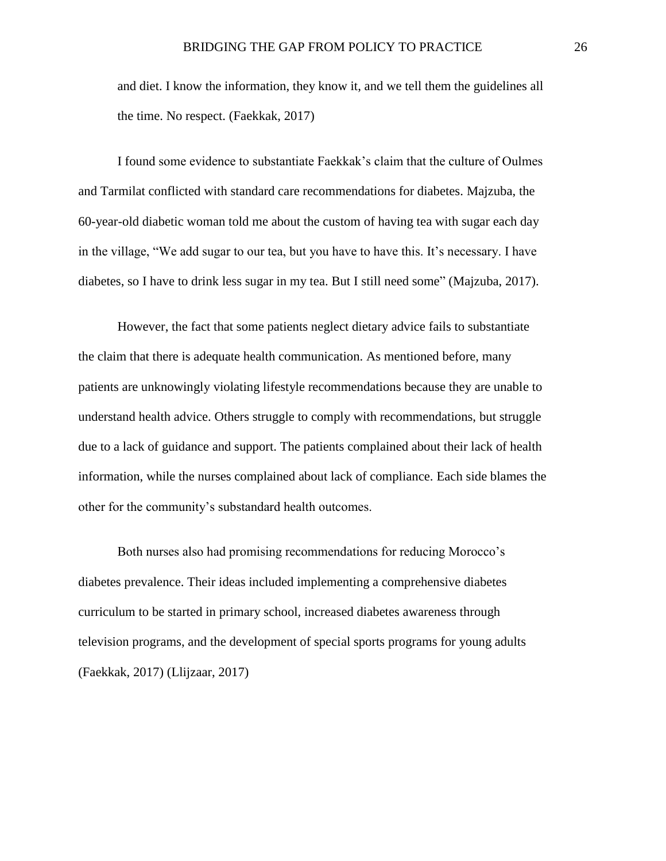and diet. I know the information, they know it, and we tell them the guidelines all the time. No respect. (Faekkak, 2017)

I found some evidence to substantiate Faekkak's claim that the culture of Oulmes and Tarmilat conflicted with standard care recommendations for diabetes. Majzuba, the 60-year-old diabetic woman told me about the custom of having tea with sugar each day in the village, "We add sugar to our tea, but you have to have this. It's necessary. I have diabetes, so I have to drink less sugar in my tea. But I still need some" (Majzuba, 2017).

However, the fact that some patients neglect dietary advice fails to substantiate the claim that there is adequate health communication. As mentioned before, many patients are unknowingly violating lifestyle recommendations because they are unable to understand health advice. Others struggle to comply with recommendations, but struggle due to a lack of guidance and support. The patients complained about their lack of health information, while the nurses complained about lack of compliance. Each side blames the other for the community's substandard health outcomes.

Both nurses also had promising recommendations for reducing Morocco's diabetes prevalence. Their ideas included implementing a comprehensive diabetes curriculum to be started in primary school, increased diabetes awareness through television programs, and the development of special sports programs for young adults (Faekkak, 2017) (Llijzaar, 2017)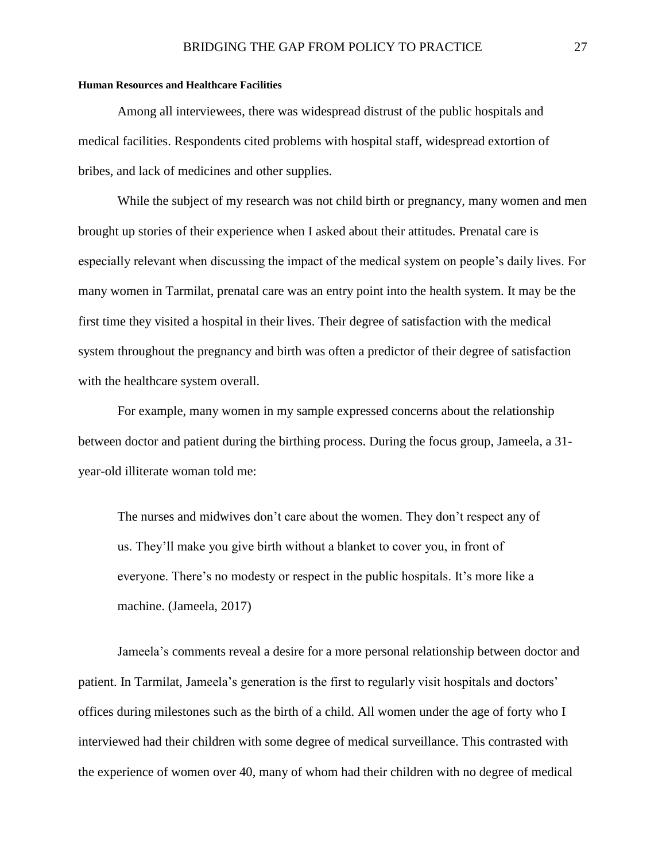#### <span id="page-28-0"></span>**Human Resources and Healthcare Facilities**

Among all interviewees, there was widespread distrust of the public hospitals and medical facilities. Respondents cited problems with hospital staff, widespread extortion of bribes, and lack of medicines and other supplies.

While the subject of my research was not child birth or pregnancy, many women and men brought up stories of their experience when I asked about their attitudes. Prenatal care is especially relevant when discussing the impact of the medical system on people's daily lives. For many women in Tarmilat, prenatal care was an entry point into the health system. It may be the first time they visited a hospital in their lives. Their degree of satisfaction with the medical system throughout the pregnancy and birth was often a predictor of their degree of satisfaction with the healthcare system overall.

For example, many women in my sample expressed concerns about the relationship between doctor and patient during the birthing process. During the focus group, Jameela, a 31 year-old illiterate woman told me:

The nurses and midwives don't care about the women. They don't respect any of us. They'll make you give birth without a blanket to cover you, in front of everyone. There's no modesty or respect in the public hospitals. It's more like a machine. (Jameela, 2017)

Jameela's comments reveal a desire for a more personal relationship between doctor and patient. In Tarmilat, Jameela's generation is the first to regularly visit hospitals and doctors' offices during milestones such as the birth of a child. All women under the age of forty who I interviewed had their children with some degree of medical surveillance. This contrasted with the experience of women over 40, many of whom had their children with no degree of medical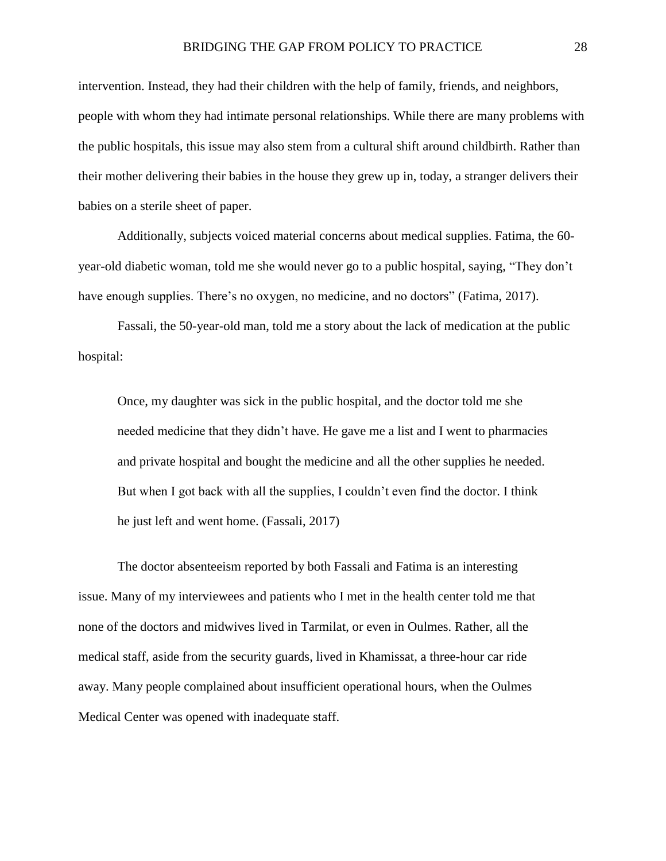intervention. Instead, they had their children with the help of family, friends, and neighbors, people with whom they had intimate personal relationships. While there are many problems with the public hospitals, this issue may also stem from a cultural shift around childbirth. Rather than their mother delivering their babies in the house they grew up in, today, a stranger delivers their babies on a sterile sheet of paper.

Additionally, subjects voiced material concerns about medical supplies. Fatima, the 60 year-old diabetic woman, told me she would never go to a public hospital, saying, "They don't have enough supplies. There's no oxygen, no medicine, and no doctors" (Fatima, 2017).

Fassali, the 50-year-old man, told me a story about the lack of medication at the public hospital:

Once, my daughter was sick in the public hospital, and the doctor told me she needed medicine that they didn't have. He gave me a list and I went to pharmacies and private hospital and bought the medicine and all the other supplies he needed. But when I got back with all the supplies, I couldn't even find the doctor. I think he just left and went home. (Fassali, 2017)

The doctor absenteeism reported by both Fassali and Fatima is an interesting issue. Many of my interviewees and patients who I met in the health center told me that none of the doctors and midwives lived in Tarmilat, or even in Oulmes. Rather, all the medical staff, aside from the security guards, lived in Khamissat, a three-hour car ride away. Many people complained about insufficient operational hours, when the Oulmes Medical Center was opened with inadequate staff.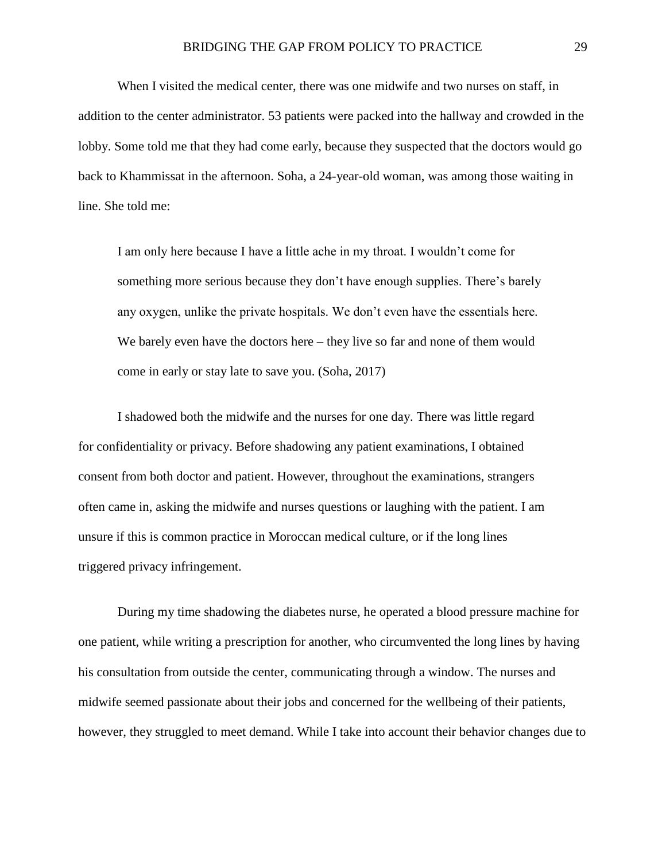When I visited the medical center, there was one midwife and two nurses on staff, in addition to the center administrator. 53 patients were packed into the hallway and crowded in the lobby. Some told me that they had come early, because they suspected that the doctors would go back to Khammissat in the afternoon. Soha, a 24-year-old woman, was among those waiting in line. She told me:

I am only here because I have a little ache in my throat. I wouldn't come for something more serious because they don't have enough supplies. There's barely any oxygen, unlike the private hospitals. We don't even have the essentials here. We barely even have the doctors here – they live so far and none of them would come in early or stay late to save you. (Soha, 2017)

I shadowed both the midwife and the nurses for one day. There was little regard for confidentiality or privacy. Before shadowing any patient examinations, I obtained consent from both doctor and patient. However, throughout the examinations, strangers often came in, asking the midwife and nurses questions or laughing with the patient. I am unsure if this is common practice in Moroccan medical culture, or if the long lines triggered privacy infringement.

During my time shadowing the diabetes nurse, he operated a blood pressure machine for one patient, while writing a prescription for another, who circumvented the long lines by having his consultation from outside the center, communicating through a window. The nurses and midwife seemed passionate about their jobs and concerned for the wellbeing of their patients, however, they struggled to meet demand. While I take into account their behavior changes due to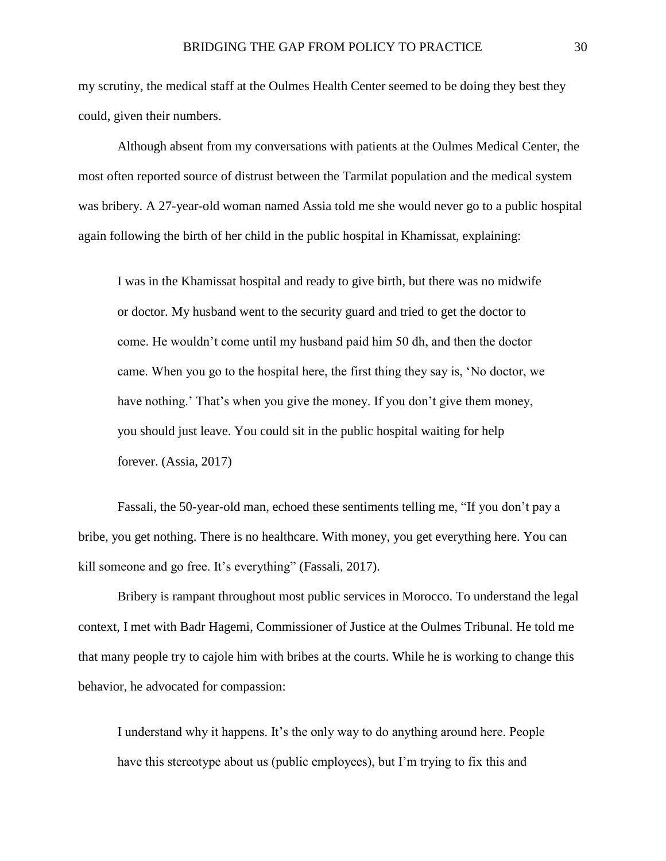my scrutiny, the medical staff at the Oulmes Health Center seemed to be doing they best they could, given their numbers.

Although absent from my conversations with patients at the Oulmes Medical Center, the most often reported source of distrust between the Tarmilat population and the medical system was bribery. A 27-year-old woman named Assia told me she would never go to a public hospital again following the birth of her child in the public hospital in Khamissat, explaining:

I was in the Khamissat hospital and ready to give birth, but there was no midwife or doctor. My husband went to the security guard and tried to get the doctor to come. He wouldn't come until my husband paid him 50 dh, and then the doctor came. When you go to the hospital here, the first thing they say is, 'No doctor, we have nothing.' That's when you give the money. If you don't give them money, you should just leave. You could sit in the public hospital waiting for help forever. (Assia, 2017)

Fassali, the 50-year-old man, echoed these sentiments telling me, "If you don't pay a bribe, you get nothing. There is no healthcare. With money, you get everything here. You can kill someone and go free. It's everything" (Fassali, 2017).

Bribery is rampant throughout most public services in Morocco. To understand the legal context, I met with Badr Hagemi, Commissioner of Justice at the Oulmes Tribunal. He told me that many people try to cajole him with bribes at the courts. While he is working to change this behavior, he advocated for compassion:

I understand why it happens. It's the only way to do anything around here. People have this stereotype about us (public employees), but I'm trying to fix this and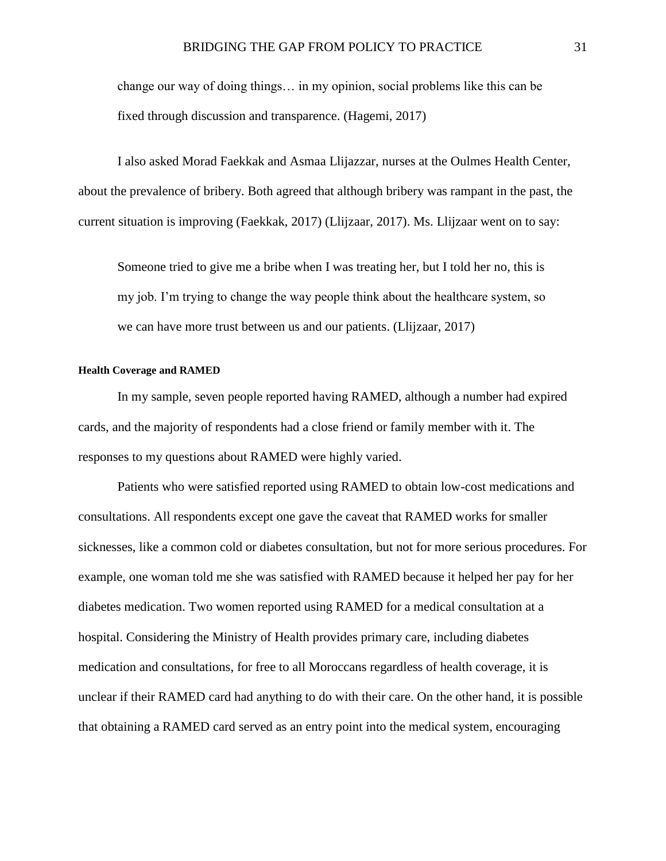change our way of doing things… in my opinion, social problems like this can be fixed through discussion and transparence. (Hagemi, 2017)

I also asked Morad Faekkak and Asmaa Llijazzar, nurses at the Oulmes Health Center, about the prevalence of bribery. Both agreed that although bribery was rampant in the past, the current situation is improving (Faekkak, 2017) (Llijzaar, 2017). Ms. Llijzaar went on to say:

Someone tried to give me a bribe when I was treating her, but I told her no, this is my job. I'm trying to change the way people think about the healthcare system, so we can have more trust between us and our patients. (Llijzaar, 2017)

#### <span id="page-32-0"></span>**Health Coverage and RAMED**

In my sample, seven people reported having RAMED, although a number had expired cards, and the majority of respondents had a close friend or family member with it. The responses to my questions about RAMED were highly varied.

Patients who were satisfied reported using RAMED to obtain low-cost medications and consultations. All respondents except one gave the caveat that RAMED works for smaller sicknesses, like a common cold or diabetes consultation, but not for more serious procedures. For example, one woman told me she was satisfied with RAMED because it helped her pay for her diabetes medication. Two women reported using RAMED for a medical consultation at a hospital. Considering the Ministry of Health provides primary care, including diabetes medication and consultations, for free to all Moroccans regardless of health coverage, it is unclear if their RAMED card had anything to do with their care. On the other hand, it is possible that obtaining a RAMED card served as an entry point into the medical system, encouraging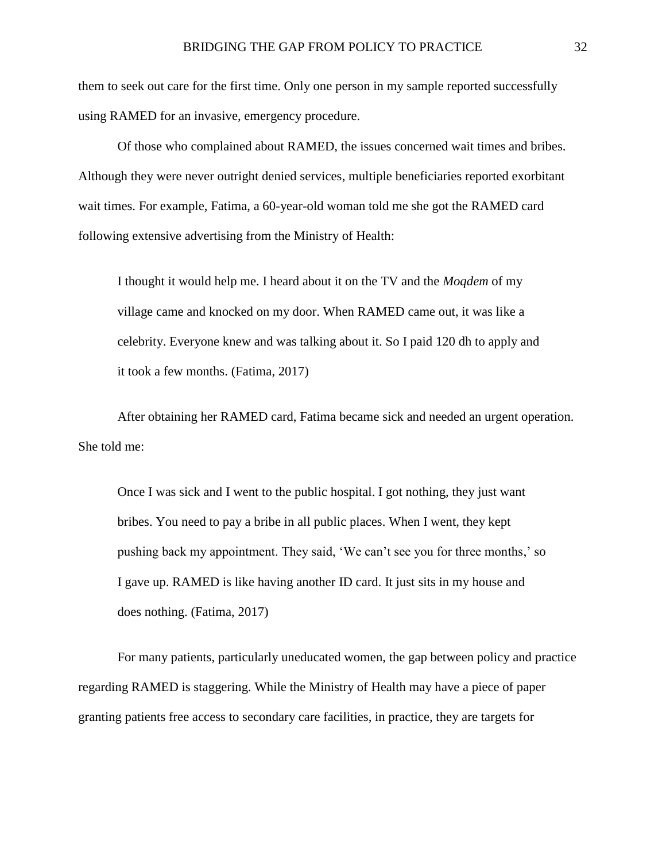them to seek out care for the first time. Only one person in my sample reported successfully using RAMED for an invasive, emergency procedure.

Of those who complained about RAMED, the issues concerned wait times and bribes. Although they were never outright denied services, multiple beneficiaries reported exorbitant wait times. For example, Fatima, a 60-year-old woman told me she got the RAMED card following extensive advertising from the Ministry of Health:

I thought it would help me. I heard about it on the TV and the *Moqdem* of my village came and knocked on my door. When RAMED came out, it was like a celebrity. Everyone knew and was talking about it. So I paid 120 dh to apply and it took a few months. (Fatima, 2017)

After obtaining her RAMED card, Fatima became sick and needed an urgent operation. She told me:

Once I was sick and I went to the public hospital. I got nothing, they just want bribes. You need to pay a bribe in all public places. When I went, they kept pushing back my appointment. They said, 'We can't see you for three months,' so I gave up. RAMED is like having another ID card. It just sits in my house and does nothing. (Fatima, 2017)

For many patients, particularly uneducated women, the gap between policy and practice regarding RAMED is staggering. While the Ministry of Health may have a piece of paper granting patients free access to secondary care facilities, in practice, they are targets for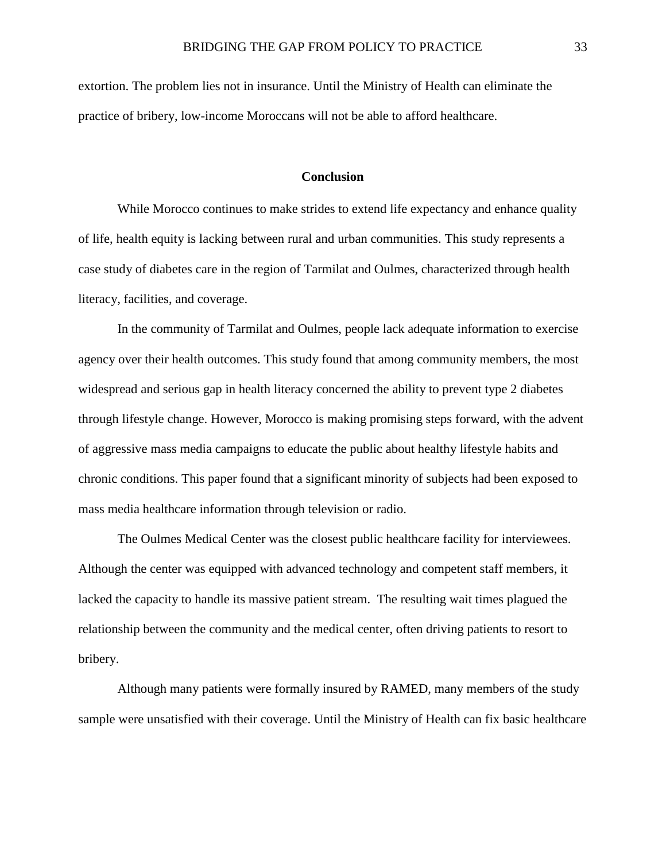<span id="page-34-0"></span>extortion. The problem lies not in insurance. Until the Ministry of Health can eliminate the practice of bribery, low-income Moroccans will not be able to afford healthcare.

#### **Conclusion**

While Morocco continues to make strides to extend life expectancy and enhance quality of life, health equity is lacking between rural and urban communities. This study represents a case study of diabetes care in the region of Tarmilat and Oulmes, characterized through health literacy, facilities, and coverage.

In the community of Tarmilat and Oulmes, people lack adequate information to exercise agency over their health outcomes. This study found that among community members, the most widespread and serious gap in health literacy concerned the ability to prevent type 2 diabetes through lifestyle change. However, Morocco is making promising steps forward, with the advent of aggressive mass media campaigns to educate the public about healthy lifestyle habits and chronic conditions. This paper found that a significant minority of subjects had been exposed to mass media healthcare information through television or radio.

The Oulmes Medical Center was the closest public healthcare facility for interviewees. Although the center was equipped with advanced technology and competent staff members, it lacked the capacity to handle its massive patient stream. The resulting wait times plagued the relationship between the community and the medical center, often driving patients to resort to bribery.

Although many patients were formally insured by RAMED, many members of the study sample were unsatisfied with their coverage. Until the Ministry of Health can fix basic healthcare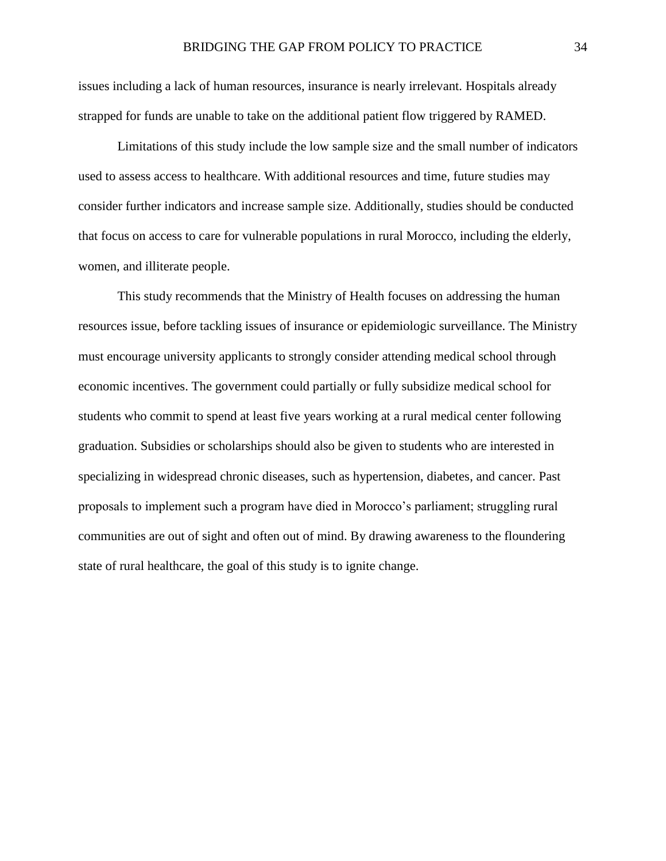issues including a lack of human resources, insurance is nearly irrelevant. Hospitals already strapped for funds are unable to take on the additional patient flow triggered by RAMED.

Limitations of this study include the low sample size and the small number of indicators used to assess access to healthcare. With additional resources and time, future studies may consider further indicators and increase sample size. Additionally, studies should be conducted that focus on access to care for vulnerable populations in rural Morocco, including the elderly, women, and illiterate people.

This study recommends that the Ministry of Health focuses on addressing the human resources issue, before tackling issues of insurance or epidemiologic surveillance. The Ministry must encourage university applicants to strongly consider attending medical school through economic incentives. The government could partially or fully subsidize medical school for students who commit to spend at least five years working at a rural medical center following graduation. Subsidies or scholarships should also be given to students who are interested in specializing in widespread chronic diseases, such as hypertension, diabetes, and cancer. Past proposals to implement such a program have died in Morocco's parliament; struggling rural communities are out of sight and often out of mind. By drawing awareness to the floundering state of rural healthcare, the goal of this study is to ignite change.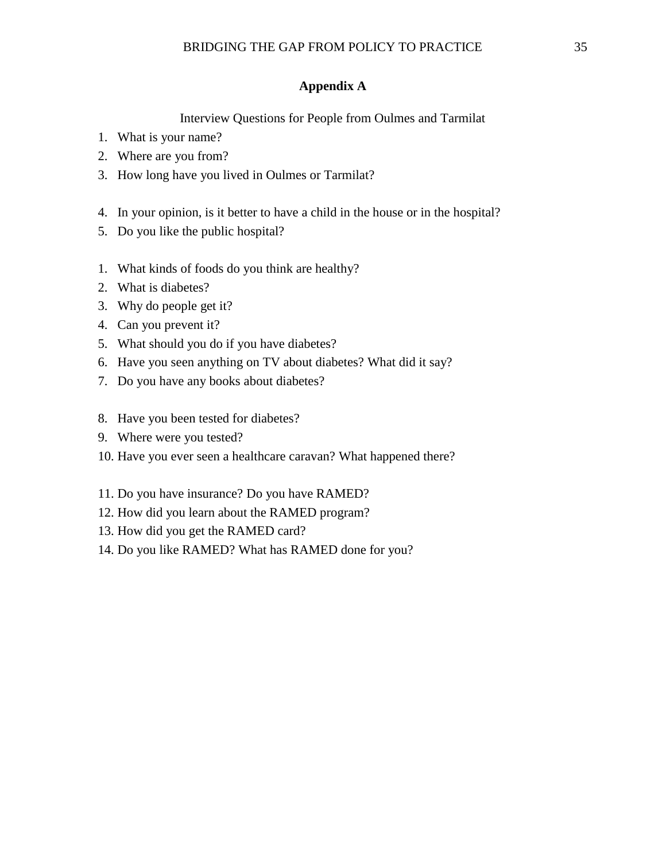#### **Appendix A**

Interview Questions for People from Oulmes and Tarmilat

- <span id="page-36-0"></span>1. What is your name?
- 2. Where are you from?
- 3. How long have you lived in Oulmes or Tarmilat?
- 4. In your opinion, is it better to have a child in the house or in the hospital?
- 5. Do you like the public hospital?
- 1. What kinds of foods do you think are healthy?
- 2. What is diabetes?
- 3. Why do people get it?
- 4. Can you prevent it?
- 5. What should you do if you have diabetes?
- 6. Have you seen anything on TV about diabetes? What did it say?
- 7. Do you have any books about diabetes?
- 8. Have you been tested for diabetes?
- 9. Where were you tested?
- 10. Have you ever seen a healthcare caravan? What happened there?
- 11. Do you have insurance? Do you have RAMED?
- 12. How did you learn about the RAMED program?
- 13. How did you get the RAMED card?
- 14. Do you like RAMED? What has RAMED done for you?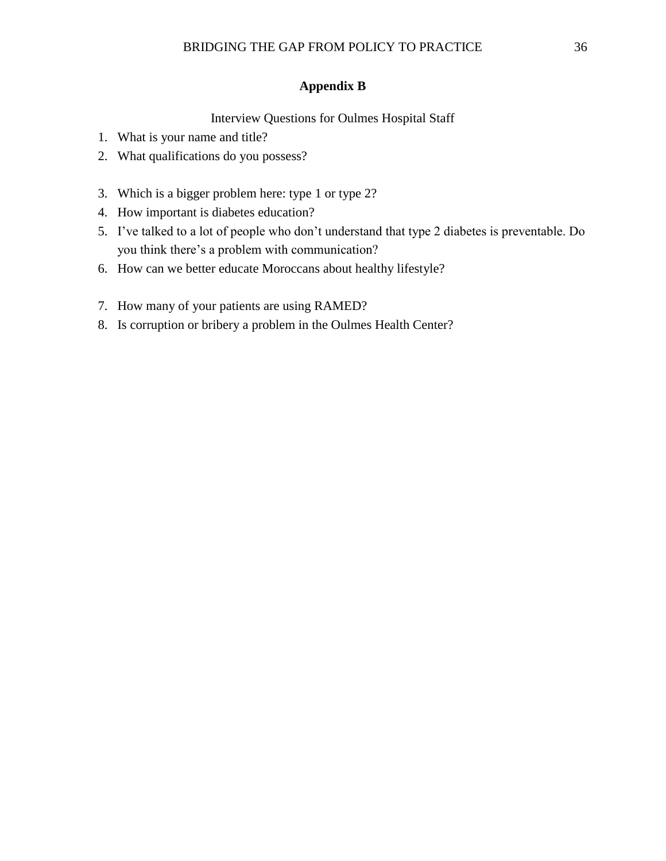#### **Appendix B**

#### Interview Questions for Oulmes Hospital Staff

- <span id="page-37-0"></span>1. What is your name and title?
- 2. What qualifications do you possess?
- 3. Which is a bigger problem here: type 1 or type 2?
- 4. How important is diabetes education?
- 5. I've talked to a lot of people who don't understand that type 2 diabetes is preventable. Do you think there's a problem with communication?
- 6. How can we better educate Moroccans about healthy lifestyle?
- 7. How many of your patients are using RAMED?
- 8. Is corruption or bribery a problem in the Oulmes Health Center?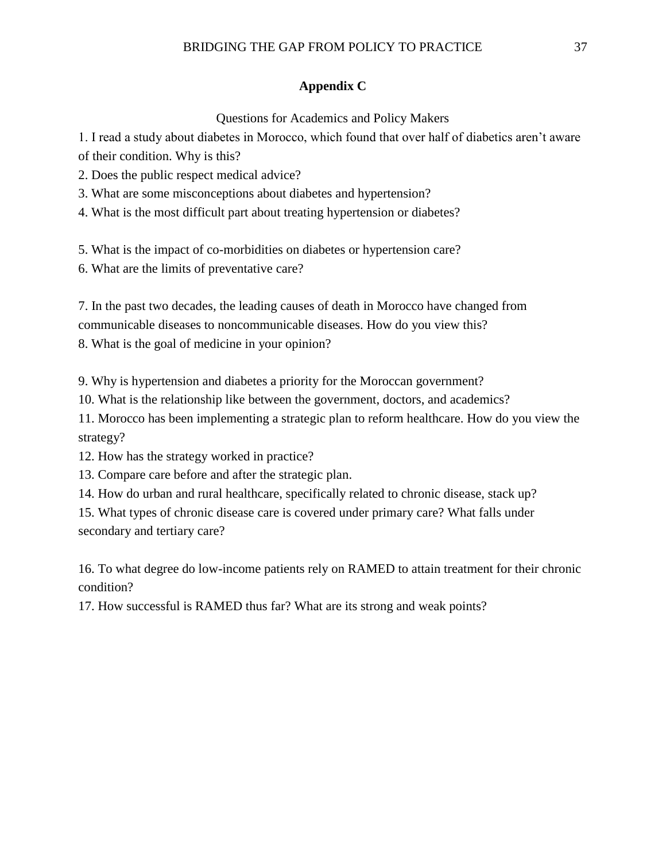#### **Appendix C**

#### Questions for Academics and Policy Makers

<span id="page-38-0"></span>1. I read a study about diabetes in Morocco, which found that over half of diabetics aren't aware of their condition. Why is this?

2. Does the public respect medical advice?

3. What are some misconceptions about diabetes and hypertension?

4. What is the most difficult part about treating hypertension or diabetes?

5. What is the impact of co-morbidities on diabetes or hypertension care?

6. What are the limits of preventative care?

7. In the past two decades, the leading causes of death in Morocco have changed from communicable diseases to noncommunicable diseases. How do you view this? 8. What is the goal of medicine in your opinion?

9. Why is hypertension and diabetes a priority for the Moroccan government?

10. What is the relationship like between the government, doctors, and academics?

11. Morocco has been implementing a strategic plan to reform healthcare. How do you view the strategy?

12. How has the strategy worked in practice?

13. Compare care before and after the strategic plan.

14. How do urban and rural healthcare, specifically related to chronic disease, stack up?

15. What types of chronic disease care is covered under primary care? What falls under secondary and tertiary care?

16. To what degree do low-income patients rely on RAMED to attain treatment for their chronic condition?

17. How successful is RAMED thus far? What are its strong and weak points?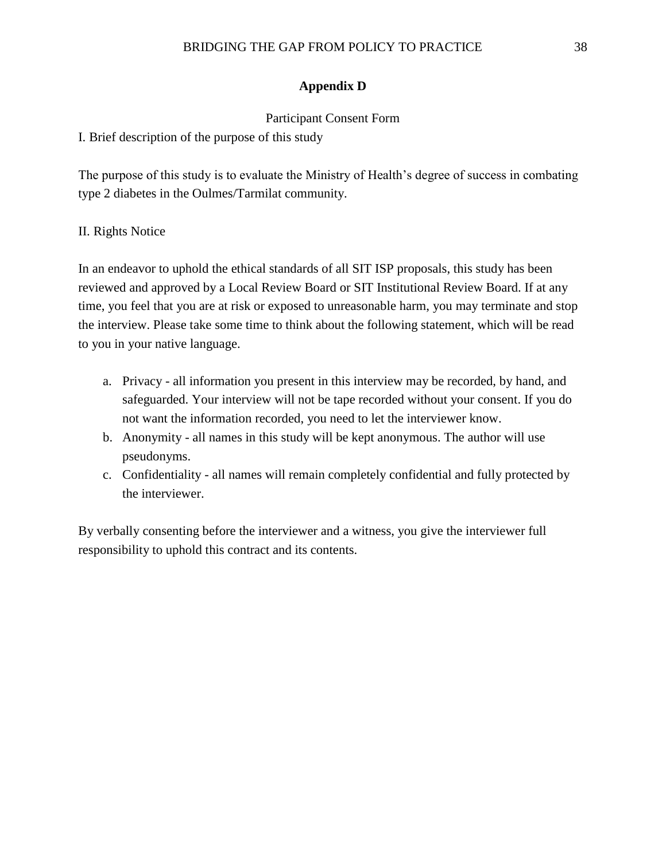#### **Appendix D**

#### Participant Consent Form

<span id="page-39-0"></span>I. Brief description of the purpose of this study

The purpose of this study is to evaluate the Ministry of Health's degree of success in combating type 2 diabetes in the Oulmes/Tarmilat community.

#### II. Rights Notice

In an endeavor to uphold the ethical standards of all SIT ISP proposals, this study has been reviewed and approved by a Local Review Board or SIT Institutional Review Board. If at any time, you feel that you are at risk or exposed to unreasonable harm, you may terminate and stop the interview. Please take some time to think about the following statement, which will be read to you in your native language.

- a. Privacy all information you present in this interview may be recorded, by hand, and safeguarded. Your interview will not be tape recorded without your consent. If you do not want the information recorded, you need to let the interviewer know.
- b. Anonymity all names in this study will be kept anonymous. The author will use pseudonyms.
- c. Confidentiality all names will remain completely confidential and fully protected by the interviewer.

By verbally consenting before the interviewer and a witness, you give the interviewer full responsibility to uphold this contract and its contents.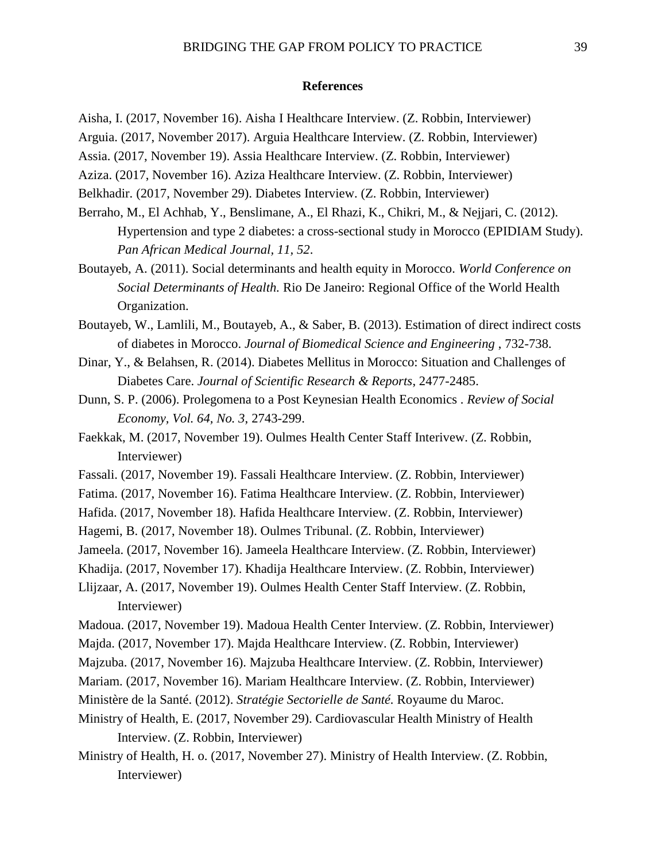#### <span id="page-40-0"></span>**References**

Aisha, I. (2017, November 16). Aisha I Healthcare Interview. (Z. Robbin, Interviewer)

Arguia. (2017, November 2017). Arguia Healthcare Interview. (Z. Robbin, Interviewer)

Assia. (2017, November 19). Assia Healthcare Interview. (Z. Robbin, Interviewer)

Aziza. (2017, November 16). Aziza Healthcare Interview. (Z. Robbin, Interviewer)

Belkhadir. (2017, November 29). Diabetes Interview. (Z. Robbin, Interviewer)

Berraho, M., El Achhab, Y., Benslimane, A., El Rhazi, K., Chikri, M., & Nejjari, C. (2012). Hypertension and type 2 diabetes: a cross-sectional study in Morocco (EPIDIAM Study). *Pan African Medical Journal, 11, 52*.

Boutayeb, A. (2011). Social determinants and health equity in Morocco. *World Conference on Social Determinants of Health.* Rio De Janeiro: Regional Office of the World Health Organization.

Boutayeb, W., Lamlili, M., Boutayeb, A., & Saber, B. (2013). Estimation of direct indirect costs of diabetes in Morocco. *Journal of Biomedical Science and Engineering* , 732-738.

Dinar, Y., & Belahsen, R. (2014). Diabetes Mellitus in Morocco: Situation and Challenges of Diabetes Care. *Journal of Scientific Research & Reports*, 2477-2485.

Dunn, S. P. (2006). Prolegomena to a Post Keynesian Health Economics . *Review of Social Economy, Vol. 64, No. 3*, 2743-299.

Faekkak, M. (2017, November 19). Oulmes Health Center Staff Interivew. (Z. Robbin, Interviewer)

Fassali. (2017, November 19). Fassali Healthcare Interview. (Z. Robbin, Interviewer)

Fatima. (2017, November 16). Fatima Healthcare Interview. (Z. Robbin, Interviewer)

Hafida. (2017, November 18). Hafida Healthcare Interview. (Z. Robbin, Interviewer)

Hagemi, B. (2017, November 18). Oulmes Tribunal. (Z. Robbin, Interviewer)

Jameela. (2017, November 16). Jameela Healthcare Interview. (Z. Robbin, Interviewer)

Khadija. (2017, November 17). Khadija Healthcare Interview. (Z. Robbin, Interviewer)

Llijzaar, A. (2017, November 19). Oulmes Health Center Staff Interview. (Z. Robbin, Interviewer)

Madoua. (2017, November 19). Madoua Health Center Interview. (Z. Robbin, Interviewer)

Majda. (2017, November 17). Majda Healthcare Interview. (Z. Robbin, Interviewer)

Majzuba. (2017, November 16). Majzuba Healthcare Interview. (Z. Robbin, Interviewer)

Mariam. (2017, November 16). Mariam Healthcare Interview. (Z. Robbin, Interviewer)

Ministère de la Santé. (2012). *Stratégie Sectorielle de Santé.* Royaume du Maroc.

Ministry of Health, E. (2017, November 29). Cardiovascular Health Ministry of Health Interview. (Z. Robbin, Interviewer)

Ministry of Health, H. o. (2017, November 27). Ministry of Health Interview. (Z. Robbin, Interviewer)